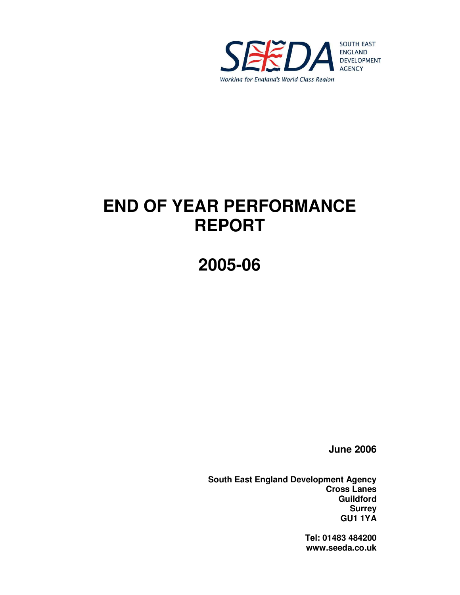

# **END OF YEAR PERFORMANCE REPORT**

**2005-06** 

**June 2006**

**South East England Development Agency Cross Lanes Guildford Surrey GU1 1YA** 

> **Tel: 01483 484200 www.seeda.co.uk**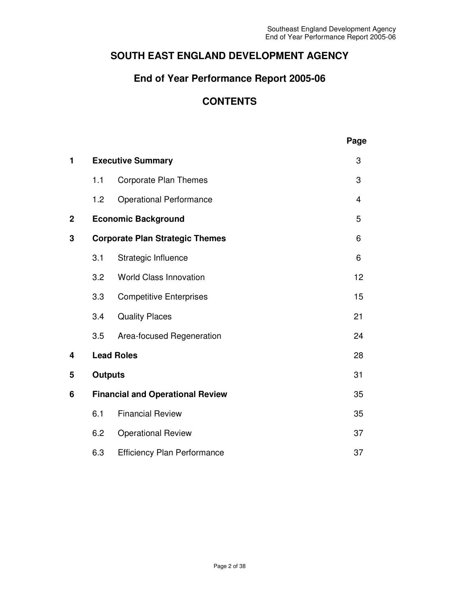# **SOUTH EAST ENGLAND DEVELOPMENT AGENCY**

# **End of Year Performance Report 2005-06**

# **CONTENTS**

|                |                                         |                                        | Page |
|----------------|-----------------------------------------|----------------------------------------|------|
| 1              |                                         | <b>Executive Summary</b>               | 3    |
|                | 1.1                                     | <b>Corporate Plan Themes</b>           | 3    |
|                | 1.2                                     | <b>Operational Performance</b>         | 4    |
| $\overline{2}$ |                                         | <b>Economic Background</b>             | 5    |
| 3              |                                         | <b>Corporate Plan Strategic Themes</b> | 6    |
|                | 3.1                                     | Strategic Influence                    | 6    |
|                | 3.2                                     | <b>World Class Innovation</b>          | 12   |
|                | 3.3                                     | <b>Competitive Enterprises</b>         | 15   |
|                | 3.4                                     | <b>Quality Places</b>                  | 21   |
|                | 3.5                                     | Area-focused Regeneration              | 24   |
| 4              |                                         | <b>Lead Roles</b>                      | 28   |
| 5              | <b>Outputs</b>                          |                                        | 31   |
| 6              | <b>Financial and Operational Review</b> |                                        | 35   |
|                | 6.1                                     | <b>Financial Review</b>                | 35   |
|                | 6.2                                     | <b>Operational Review</b>              | 37   |
|                | 6.3                                     | <b>Efficiency Plan Performance</b>     | 37   |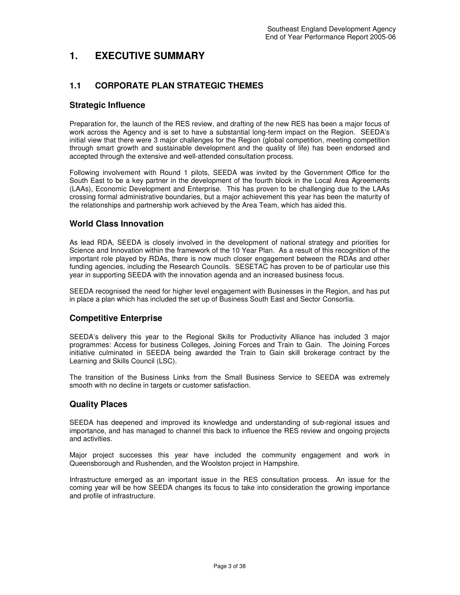# **1. EXECUTIVE SUMMARY**

### **1.1 CORPORATE PLAN STRATEGIC THEMES**

#### **Strategic Influence**

Preparation for, the launch of the RES review, and drafting of the new RES has been a major focus of work across the Agency and is set to have a substantial long-term impact on the Region. SEEDA's initial view that there were 3 major challenges for the Region (global competition, meeting competition through smart growth and sustainable development and the quality of life) has been endorsed and accepted through the extensive and well-attended consultation process.

Following involvement with Round 1 pilots, SEEDA was invited by the Government Office for the South East to be a key partner in the development of the fourth block in the Local Area Agreements (LAAs), Economic Development and Enterprise. This has proven to be challenging due to the LAAs crossing formal administrative boundaries, but a major achievement this year has been the maturity of the relationships and partnership work achieved by the Area Team, which has aided this.

### **World Class Innovation**

As lead RDA, SEEDA is closely involved in the development of national strategy and priorities for Science and Innovation within the framework of the 10 Year Plan. As a result of this recognition of the important role played by RDAs, there is now much closer engagement between the RDAs and other funding agencies, including the Research Councils. SESETAC has proven to be of particular use this year in supporting SEEDA with the innovation agenda and an increased business focus.

SEEDA recognised the need for higher level engagement with Businesses in the Region, and has put in place a plan which has included the set up of Business South East and Sector Consortia.

### **Competitive Enterprise**

SEEDA's delivery this year to the Regional Skills for Productivity Alliance has included 3 major programmes: Access for business Colleges, Joining Forces and Train to Gain. The Joining Forces initiative culminated in SEEDA being awarded the Train to Gain skill brokerage contract by the Learning and Skills Council (LSC).

The transition of the Business Links from the Small Business Service to SEEDA was extremely smooth with no decline in targets or customer satisfaction.

### **Quality Places**

SEEDA has deepened and improved its knowledge and understanding of sub-regional issues and importance, and has managed to channel this back to influence the RES review and ongoing projects and activities.

Major project successes this year have included the community engagement and work in Queensborough and Rushenden, and the Woolston project in Hampshire.

Infrastructure emerged as an important issue in the RES consultation process. An issue for the coming year will be how SEEDA changes its focus to take into consideration the growing importance and profile of infrastructure.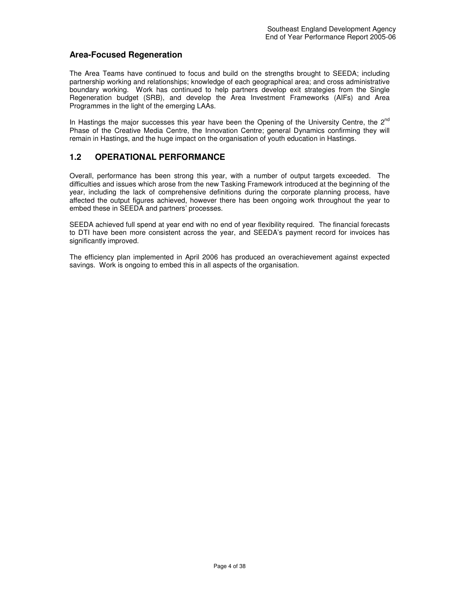### **Area-Focused Regeneration**

The Area Teams have continued to focus and build on the strengths brought to SEEDA; including partnership working and relationships; knowledge of each geographical area; and cross administrative boundary working. Work has continued to help partners develop exit strategies from the Single Regeneration budget (SRB), and develop the Area Investment Frameworks (AIFs) and Area Programmes in the light of the emerging LAAs.

In Hastings the major successes this year have been the Opening of the University Centre, the  $2^{nd}$ Phase of the Creative Media Centre, the Innovation Centre; general Dynamics confirming they will remain in Hastings, and the huge impact on the organisation of youth education in Hastings.

### **1.2 OPERATIONAL PERFORMANCE**

Overall, performance has been strong this year, with a number of output targets exceeded. The difficulties and issues which arose from the new Tasking Framework introduced at the beginning of the year, including the lack of comprehensive definitions during the corporate planning process, have affected the output figures achieved, however there has been ongoing work throughout the year to embed these in SEEDA and partners' processes.

SEEDA achieved full spend at year end with no end of year flexibility required. The financial forecasts to DTI have been more consistent across the year, and SEEDA's payment record for invoices has significantly improved.

The efficiency plan implemented in April 2006 has produced an overachievement against expected savings. Work is ongoing to embed this in all aspects of the organisation.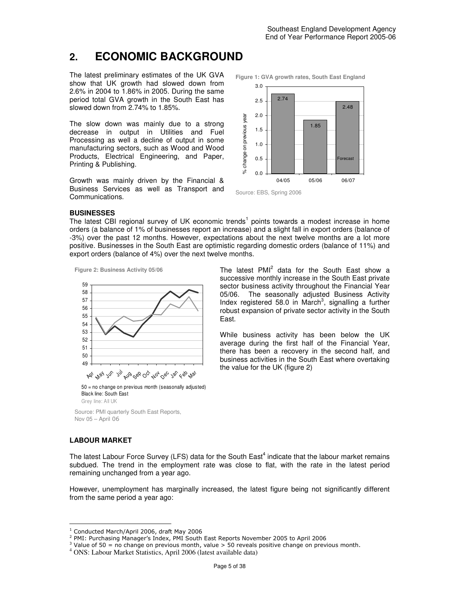# **2. ECONOMIC BACKGROUND**

The latest preliminary estimates of the UK GVA show that UK growth had slowed down from 2.6% in 2004 to 1.86% in 2005. During the same period total GVA growth in the South East has slowed down from 2.74% to 1.85%.

The slow down was mainly due to a strong decrease in output in Utilities and Fuel Processing as well a decline of output in some manufacturing sectors, such as Wood and Wood Products, Electrical Engineering, and Paper, Printing & Publishing.

Growth was mainly driven by the Financial & Business Services as well as Transport and Communications.



**Figure 1: GVA growth rates, South East England** 

Source: EBS, Spring 2006

#### **BUSINESSES**

The latest CBI regional survey of UK economic trends<sup>1</sup> points towards a modest increase in home orders (a balance of 1% of businesses report an increase) and a slight fall in export orders (balance of -3%) over the past 12 months. However, expectations about the next twelve months are a lot more positive. Businesses in the South East are optimistic regarding domestic orders (balance of 11%) and export orders (balance of 4%) over the next twelve months.





The latest PMI<sup>2</sup> data for the South East show a successive monthly increase in the South East private sector business activity throughout the Financial Year 05/06. The seasonally adjusted Business Activity Index registered 58.0 in March<sup>3</sup>, signalling a further robust expansion of private sector activity in the South East.

While business activity has been below the UK average during the first half of the Financial Year, there has been a recovery in the second half, and business activities in the South East where overtaking the value for the UK (figure 2)

50 = no change on previous month (seasonally adjusted) Black line: South East Grey line: All UK

Source: PMI quarterly South East Reports, Nov 05 – April 06

#### **LABOUR MARKET**

 $\ddot{\phantom{a}}$ 

The latest Labour Force Survey (LFS) data for the South East<sup>4</sup> indicate that the labour market remains subdued. The trend in the employment rate was close to flat, with the rate in the latest period remaining unchanged from a year ago.

However, unemployment has marginally increased, the latest figure being not significantly different from the same period a year ago:

<sup>1</sup> Conducted March/April 2006, draft May 2006

<sup>2</sup> PMI: Purchasing Manager's Index, PMI South East Reports November 2005 to April 2006

 $3$  Value of 50 = no change on previous month, value > 50 reveals positive change on previous month.

<sup>4</sup> ONS: Labour Market Statistics, April 2006 (latest available data)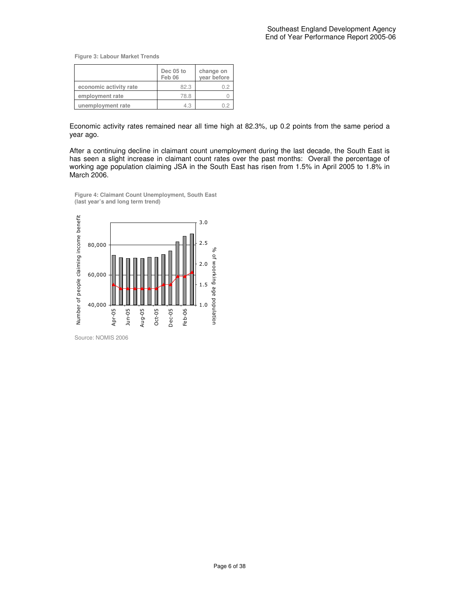**Figure 3: Labour Market Trends**

|                        | Dec 05 to<br>Feb 06 | change on<br>year before |
|------------------------|---------------------|--------------------------|
| economic activity rate | 82.3                |                          |
| employment rate        | 78.8                |                          |
| unemployment rate      | 4.3                 |                          |

Economic activity rates remained near all time high at 82.3%, up 0.2 points from the same period a year ago.

After a continuing decline in claimant count unemployment during the last decade, the South East is has seen a slight increase in claimant count rates over the past months: Overall the percentage of working age population claiming JSA in the South East has risen from 1.5% in April 2005 to 1.8% in March 2006.





Source: NOMIS 2006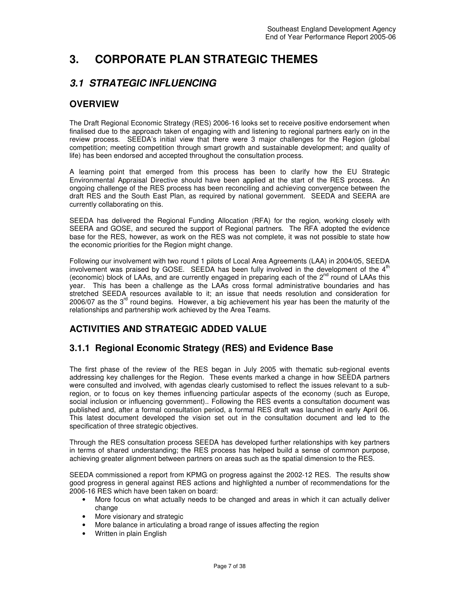# **3. CORPORATE PLAN STRATEGIC THEMES**

# **3.1 STRATEGIC INFLUENCING**

### **OVERVIEW**

The Draft Regional Economic Strategy (RES) 2006-16 looks set to receive positive endorsement when finalised due to the approach taken of engaging with and listening to regional partners early on in the review process. SEEDA's initial view that there were 3 major challenges for the Region (global competition; meeting competition through smart growth and sustainable development; and quality of life) has been endorsed and accepted throughout the consultation process.

A learning point that emerged from this process has been to clarify how the EU Strategic Environmental Appraisal Directive should have been applied at the start of the RES process. An ongoing challenge of the RES process has been reconciling and achieving convergence between the draft RES and the South East Plan, as required by national government. SEEDA and SEERA are currently collaborating on this.

SEEDA has delivered the Regional Funding Allocation (RFA) for the region, working closely with SEERA and GOSE, and secured the support of Regional partners. The RFA adopted the evidence base for the RES, however, as work on the RES was not complete, it was not possible to state how the economic priorities for the Region might change.

Following our involvement with two round 1 pilots of Local Area Agreements (LAA) in 2004/05, SEEDA involvement was praised by GOSE. SEEDA has been fully involved in the development of the  $4<sup>th</sup>$ (economic) block of LAAs, and are currently engaged in preparing each of the 2<sup>nd</sup> round of LAAs this year. This has been a challenge as the LAAs cross formal administrative boundaries and has stretched SEEDA resources available to it; an issue that needs resolution and consideration for  $2006/07$  as the  $3<sup>rd</sup>$  round begins. However, a big achievement his year has been the maturity of the relationships and partnership work achieved by the Area Teams.

## **ACTIVITIES AND STRATEGIC ADDED VALUE**

### **3.1.1 Regional Economic Strategy (RES) and Evidence Base**

The first phase of the review of the RES began in July 2005 with thematic sub-regional events addressing key challenges for the Region. These events marked a change in how SEEDA partners were consulted and involved, with agendas clearly customised to reflect the issues relevant to a subregion, or to focus on key themes influencing particular aspects of the economy (such as Europe, social inclusion or influencing government).. Following the RES events a consultation document was published and, after a formal consultation period, a formal RES draft was launched in early April 06. This latest document developed the vision set out in the consultation document and led to the specification of three strategic objectives.

Through the RES consultation process SEEDA has developed further relationships with key partners in terms of shared understanding; the RES process has helped build a sense of common purpose, achieving greater alignment between partners on areas such as the spatial dimension to the RES.

SEEDA commissioned a report from KPMG on progress against the 2002-12 RES. The results show good progress in general against RES actions and highlighted a number of recommendations for the 2006-16 RES which have been taken on board:

- More focus on what actually needs to be changed and areas in which it can actually deliver change
- More visionary and strategic
- More balance in articulating a broad range of issues affecting the region
- Written in plain English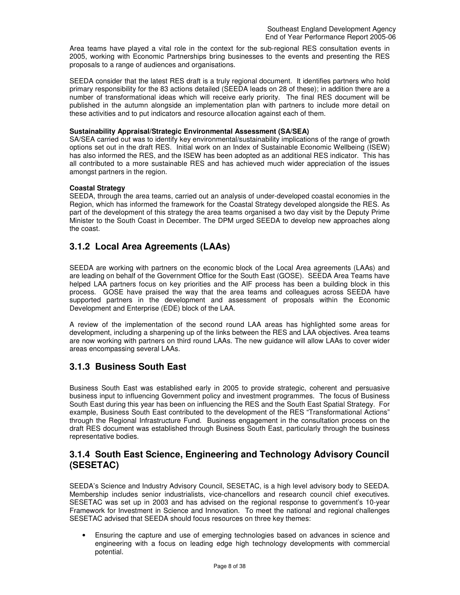Area teams have played a vital role in the context for the sub-regional RES consultation events in 2005, working with Economic Partnerships bring businesses to the events and presenting the RES proposals to a range of audiences and organisations.

SEEDA consider that the latest RES draft is a truly regional document. It identifies partners who hold primary responsibility for the 83 actions detailed (SEEDA leads on 28 of these); in addition there are a number of transformational ideas which will receive early priority. The final RES document will be published in the autumn alongside an implementation plan with partners to include more detail on these activities and to put indicators and resource allocation against each of them.

#### **Sustainability Appraisal/Strategic Environmental Assessment (SA/SEA)**

SA/SEA carried out was to identify key environmental/sustainability implications of the range of growth options set out in the draft RES. Initial work on an Index of Sustainable Economic Wellbeing (ISEW) has also informed the RES, and the ISEW has been adopted as an additional RES indicator. This has all contributed to a more sustainable RES and has achieved much wider appreciation of the issues amongst partners in the region.

#### **Coastal Strategy**

SEEDA, through the area teams, carried out an analysis of under-developed coastal economies in the Region, which has informed the framework for the Coastal Strategy developed alongside the RES. As part of the development of this strategy the area teams organised a two day visit by the Deputy Prime Minister to the South Coast in December. The DPM urged SEEDA to develop new approaches along the coast.

### **3.1.2 Local Area Agreements (LAAs)**

SEEDA are working with partners on the economic block of the Local Area agreements (LAAs) and are leading on behalf of the Government Office for the South East (GOSE). SEEDA Area Teams have helped LAA partners focus on key priorities and the AIF process has been a building block in this process. GOSE have praised the way that the area teams and colleagues across SEEDA have supported partners in the development and assessment of proposals within the Economic Development and Enterprise (EDE) block of the LAA.

A review of the implementation of the second round LAA areas has highlighted some areas for development, including a sharpening up of the links between the RES and LAA objectives. Area teams are now working with partners on third round LAAs. The new guidance will allow LAAs to cover wider areas encompassing several LAAs.

### **3.1.3 Business South East**

Business South East was established early in 2005 to provide strategic, coherent and persuasive business input to influencing Government policy and investment programmes. The focus of Business South East during this year has been on influencing the RES and the South East Spatial Strategy. For example, Business South East contributed to the development of the RES "Transformational Actions" through the Regional Infrastructure Fund. Business engagement in the consultation process on the draft RES document was established through Business South East, particularly through the business representative bodies.

### **3.1.4 South East Science, Engineering and Technology Advisory Council (SESETAC)**

SEEDA's Science and Industry Advisory Council, SESETAC, is a high level advisory body to SEEDA. Membership includes senior industrialists, vice-chancellors and research council chief executives. SESETAC was set up in 2003 and has advised on the regional response to government's 10-year Framework for Investment in Science and Innovation. To meet the national and regional challenges SESETAC advised that SEEDA should focus resources on three key themes:

• Ensuring the capture and use of emerging technologies based on advances in science and engineering with a focus on leading edge high technology developments with commercial potential.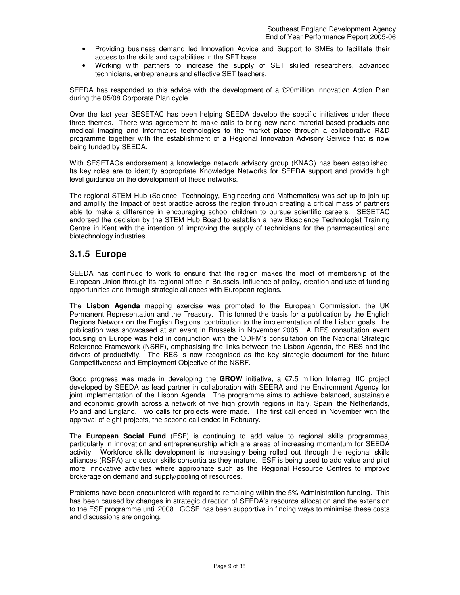- Providing business demand led Innovation Advice and Support to SMEs to facilitate their access to the skills and capabilities in the SET base.
- Working with partners to increase the supply of SET skilled researchers, advanced technicians, entrepreneurs and effective SET teachers.

SEEDA has responded to this advice with the development of a £20million Innovation Action Plan during the 05/08 Corporate Plan cycle.

Over the last year SESETAC has been helping SEEDA develop the specific initiatives under these three themes. There was agreement to make calls to bring new nano-material based products and medical imaging and informatics technologies to the market place through a collaborative R&D programme together with the establishment of a Regional Innovation Advisory Service that is now being funded by SEEDA.

With SESETACs endorsement a knowledge network advisory group (KNAG) has been established. Its key roles are to identify appropriate Knowledge Networks for SEEDA support and provide high level guidance on the development of these networks.

The regional STEM Hub (Science, Technology, Engineering and Mathematics) was set up to join up and amplify the impact of best practice across the region through creating a critical mass of partners able to make a difference in encouraging school children to pursue scientific careers. SESETAC endorsed the decision by the STEM Hub Board to establish a new Bioscience Technologist Training Centre in Kent with the intention of improving the supply of technicians for the pharmaceutical and biotechnology industries

### **3.1.5 Europe**

SEEDA has continued to work to ensure that the region makes the most of membership of the European Union through its regional office in Brussels, influence of policy, creation and use of funding opportunities and through strategic alliances with European regions.

The **Lisbon Agenda** mapping exercise was promoted to the European Commission, the UK Permanent Representation and the Treasury. This formed the basis for a publication by the English Regions Network on the English Regions' contribution to the implementation of the Lisbon goals. he publication was showcased at an event in Brussels in November 2005. A RES consultation event focusing on Europe was held in conjunction with the ODPM's consultation on the National Strategic Reference Framework (NSRF), emphasising the links between the Lisbon Agenda, the RES and the drivers of productivity. The RES is now recognised as the key strategic document for the future Competitiveness and Employment Objective of the NSRF.

Good progress was made in developing the **GROW** initiative, a €7.5 million Interreg IIIC project developed by SEEDA as lead partner in collaboration with SEERA and the Environment Agency for joint implementation of the Lisbon Agenda. The programme aims to achieve balanced, sustainable and economic growth across a network of five high growth regions in Italy, Spain, the Netherlands, Poland and England. Two calls for projects were made. The first call ended in November with the approval of eight projects, the second call ended in February.

The **European Social Fund** (ESF) is continuing to add value to regional skills programmes, particularly in innovation and entrepreneurship which are areas of increasing momentum for SEEDA activity. Workforce skills development is increasingly being rolled out through the regional skills alliances (RSPA) and sector skills consortia as they mature. ESF is being used to add value and pilot more innovative activities where appropriate such as the Regional Resource Centres to improve brokerage on demand and supply/pooling of resources.

Problems have been encountered with regard to remaining within the 5% Administration funding. This has been caused by changes in strategic direction of SEEDA's resource allocation and the extension to the ESF programme until 2008. GOSE has been supportive in finding ways to minimise these costs and discussions are ongoing.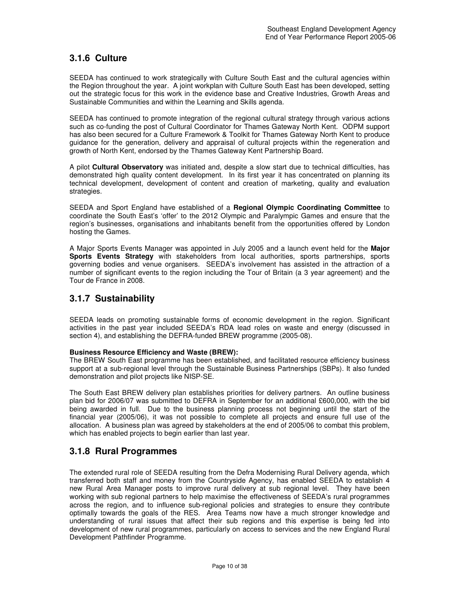### **3.1.6 Culture**

SEEDA has continued to work strategically with Culture South East and the cultural agencies within the Region throughout the year. A joint workplan with Culture South East has been developed, setting out the strategic focus for this work in the evidence base and Creative Industries, Growth Areas and Sustainable Communities and within the Learning and Skills agenda.

SEEDA has continued to promote integration of the regional cultural strategy through various actions such as co-funding the post of Cultural Coordinator for Thames Gateway North Kent. ODPM support has also been secured for a Culture Framework & Toolkit for Thames Gateway North Kent to produce guidance for the generation, delivery and appraisal of cultural projects within the regeneration and growth of North Kent, endorsed by the Thames Gateway Kent Partnership Board.

A pilot **Cultural Observatory** was initiated and, despite a slow start due to technical difficulties, has demonstrated high quality content development. In its first year it has concentrated on planning its technical development, development of content and creation of marketing, quality and evaluation strategies.

SEEDA and Sport England have established of a **Regional Olympic Coordinating Committee** to coordinate the South East's 'offer' to the 2012 Olympic and Paralympic Games and ensure that the region's businesses, organisations and inhabitants benefit from the opportunities offered by London hosting the Games.

A Major Sports Events Manager was appointed in July 2005 and a launch event held for the **Major Sports Events Strategy** with stakeholders from local authorities, sports partnerships, sports governing bodies and venue organisers. SEEDA's involvement has assisted in the attraction of a number of significant events to the region including the Tour of Britain (a 3 year agreement) and the Tour de France in 2008.

### **3.1.7 Sustainability**

SEEDA leads on promoting sustainable forms of economic development in the region. Significant activities in the past year included SEEDA's RDA lead roles on waste and energy (discussed in section 4), and establishing the DEFRA-funded BREW programme (2005-08).

#### **Business Resource Efficiency and Waste (BREW):**

The BREW South East programme has been established, and facilitated resource efficiency business support at a sub-regional level through the Sustainable Business Partnerships (SBPs). It also funded demonstration and pilot projects like NISP-SE.

The South East BREW delivery plan establishes priorities for delivery partners. An outline business plan bid for 2006/07 was submitted to DEFRA in September for an additional £600,000, with the bid being awarded in full. Due to the business planning process not beginning until the start of the financial year (2005/06), it was not possible to complete all projects and ensure full use of the allocation. A business plan was agreed by stakeholders at the end of 2005/06 to combat this problem, which has enabled projects to begin earlier than last year.

### **3.1.8 Rural Programmes**

The extended rural role of SEEDA resulting from the Defra Modernising Rural Delivery agenda, which transferred both staff and money from the Countryside Agency, has enabled SEEDA to establish 4 new Rural Area Manager posts to improve rural delivery at sub regional level. They have been working with sub regional partners to help maximise the effectiveness of SEEDA's rural programmes across the region, and to influence sub-regional policies and strategies to ensure they contribute optimally towards the goals of the RES. Area Teams now have a much stronger knowledge and understanding of rural issues that affect their sub regions and this expertise is being fed into development of new rural programmes, particularly on access to services and the new England Rural Development Pathfinder Programme.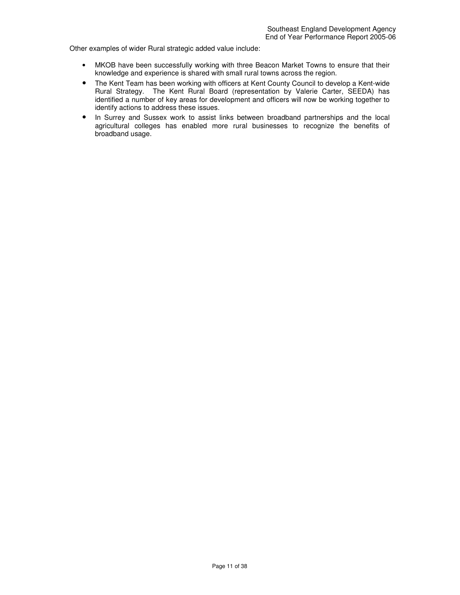Other examples of wider Rural strategic added value include:

- MKOB have been successfully working with three Beacon Market Towns to ensure that their knowledge and experience is shared with small rural towns across the region.
- The Kent Team has been working with officers at Kent County Council to develop a Kent-wide Rural Strategy. The Kent Rural Board (representation by Valerie Carter, SEEDA) has identified a number of key areas for development and officers will now be working together to identify actions to address these issues.
- In Surrey and Sussex work to assist links between broadband partnerships and the local agricultural colleges has enabled more rural businesses to recognize the benefits of broadband usage.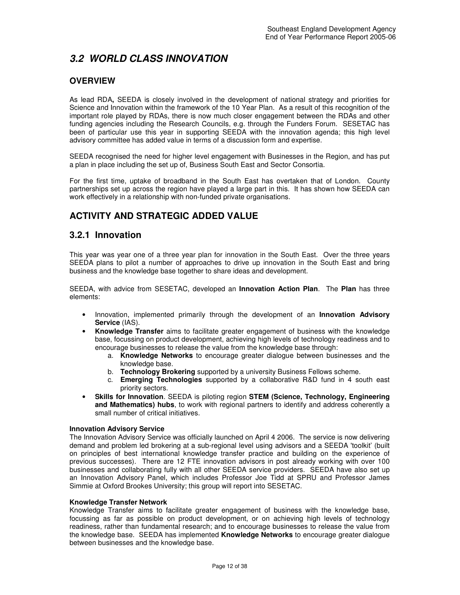# **3.2 WORLD CLASS INNOVATION**

### **OVERVIEW**

As lead RDA**,** SEEDA is closely involved in the development of national strategy and priorities for Science and Innovation within the framework of the 10 Year Plan. As a result of this recognition of the important role played by RDAs, there is now much closer engagement between the RDAs and other funding agencies including the Research Councils, e.g. through the Funders Forum. SESETAC has been of particular use this year in supporting SEEDA with the innovation agenda; this high level advisory committee has added value in terms of a discussion form and expertise.

SEEDA recognised the need for higher level engagement with Businesses in the Region, and has put a plan in place including the set up of, Business South East and Sector Consortia.

For the first time, uptake of broadband in the South East has overtaken that of London. County partnerships set up across the region have played a large part in this. It has shown how SEEDA can work effectively in a relationship with non-funded private organisations.

# **ACTIVITY AND STRATEGIC ADDED VALUE**

### **3.2.1 Innovation**

This year was year one of a three year plan for innovation in the South East. Over the three years SEEDA plans to pilot a number of approaches to drive up innovation in the South East and bring business and the knowledge base together to share ideas and development.

SEEDA, with advice from SESETAC, developed an **Innovation Action Plan**. The **Plan** has three elements:

- Innovation, implemented primarily through the development of an **Innovation Advisory Service** (IAS).
- **Knowledge Transfer** aims to facilitate greater engagement of business with the knowledge base, focussing on product development, achieving high levels of technology readiness and to encourage businesses to release the value from the knowledge base through:
	- a. **Knowledge Networks** to encourage greater dialogue between businesses and the knowledge base.
	- b. **Technology Brokering** supported by a university Business Fellows scheme.
	- c. **Emerging Technologies** supported by a collaborative R&D fund in 4 south east priority sectors.
- **Skills for Innovation**. SEEDA is piloting region **STEM (Science, Technology, Engineering and Mathematics) hubs**, to work with regional partners to identify and address coherently a small number of critical initiatives.

#### **Innovation Advisory Service**

The Innovation Advisory Service was officially launched on April 4 2006. The service is now delivering demand and problem led brokering at a sub-regional level using advisors and a SEEDA 'toolkit' (built on principles of best international knowledge transfer practice and building on the experience of previous successes). There are 12 FTE innovation advisors in post already working with over 100 businesses and collaborating fully with all other SEEDA service providers. SEEDA have also set up an Innovation Advisory Panel, which includes Professor Joe Tidd at SPRU and Professor James Simmie at Oxford Brookes University; this group will report into SESETAC.

#### **Knowledge Transfer Network**

Knowledge Transfer aims to facilitate greater engagement of business with the knowledge base, focussing as far as possible on product development, or on achieving high levels of technology readiness, rather than fundamental research; and to encourage businesses to release the value from the knowledge base. SEEDA has implemented **Knowledge Networks** to encourage greater dialogue between businesses and the knowledge base.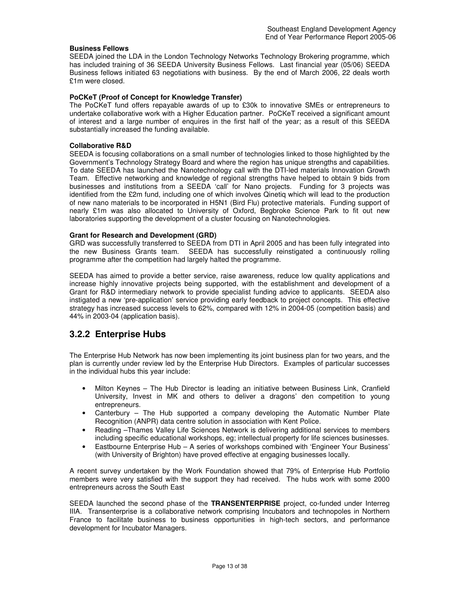#### **Business Fellows**

SEEDA joined the LDA in the London Technology Networks Technology Brokering programme, which has included training of 36 SEEDA University Business Fellows. Last financial year (05/06) SEEDA Business fellows initiated 63 negotiations with business. By the end of March 2006, 22 deals worth £1m were closed.

#### **PoCKeT (Proof of Concept for Knowledge Transfer)**

The PoCKeT fund offers repayable awards of up to £30k to innovative SMEs or entrepreneurs to undertake collaborative work with a Higher Education partner. PoCKeT received a significant amount of interest and a large number of enquires in the first half of the year; as a result of this SEEDA substantially increased the funding available.

#### **Collaborative R&D**

SEEDA is focusing collaborations on a small number of technologies linked to those highlighted by the Government's Technology Strategy Board and where the region has unique strengths and capabilities. To date SEEDA has launched the Nanotechnology call with the DTI-led materials Innovation Growth Team. Effective networking and knowledge of regional strengths have helped to obtain 9 bids from businesses and institutions from a SEEDA 'call' for Nano projects. Funding for 3 projects was identified from the £2m fund, including one of which involves Qinetiq which will lead to the production of new nano materials to be incorporated in H5N1 (Bird Flu) protective materials. Funding support of nearly £1m was also allocated to University of Oxford, Begbroke Science Park to fit out new laboratories supporting the development of a cluster focusing on Nanotechnologies.

#### **Grant for Research and Development (GRD)**

GRD was successfully transferred to SEEDA from DTI in April 2005 and has been fully integrated into the new Business Grants team. SEEDA has successfully reinstigated a continuously rolling programme after the competition had largely halted the programme.

SEEDA has aimed to provide a better service, raise awareness, reduce low quality applications and increase highly innovative projects being supported, with the establishment and development of a Grant for R&D intermediary network to provide specialist funding advice to applicants. SEEDA also instigated a new 'pre-application' service providing early feedback to project concepts. This effective strategy has increased success levels to 62%, compared with 12% in 2004-05 (competition basis) and 44% in 2003-04 (application basis).

### **3.2.2 Enterprise Hubs**

The Enterprise Hub Network has now been implementing its joint business plan for two years, and the plan is currently under review led by the Enterprise Hub Directors. Examples of particular successes in the individual hubs this year include:

- Milton Keynes The Hub Director is leading an initiative between Business Link, Cranfield University, Invest in MK and others to deliver a dragons' den competition to young entrepreneurs.
- Canterbury The Hub supported a company developing the Automatic Number Plate Recognition (ANPR) data centre solution in association with Kent Police.
- Reading –Thames Valley Life Sciences Network is delivering additional services to members including specific educational workshops, eg; intellectual property for life sciences businesses.
- Eastbourne Enterprise Hub A series of workshops combined with 'Engineer Your Business' (with University of Brighton) have proved effective at engaging businesses locally.

A recent survey undertaken by the Work Foundation showed that 79% of Enterprise Hub Portfolio members were very satisfied with the support they had received. The hubs work with some 2000 entrepreneurs across the South East

SEEDA launched the second phase of the **TRANSENTERPRISE** project, co-funded under Interreg IIIA. Transenterprise is a collaborative network comprising Incubators and technopoles in Northern France to facilitate business to business opportunities in high-tech sectors, and performance development for Incubator Managers.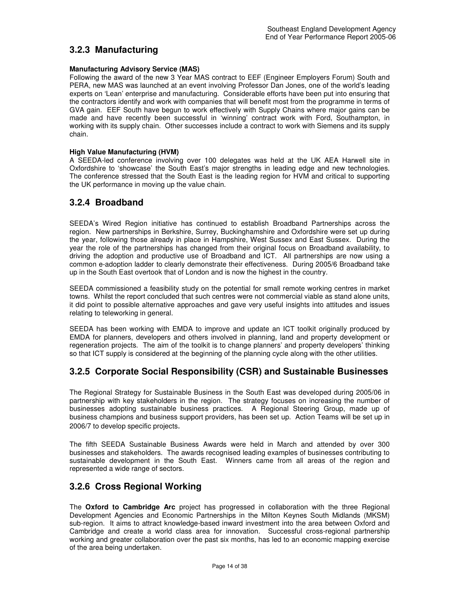### **3.2.3 Manufacturing**

#### **Manufacturing Advisory Service (MAS)**

Following the award of the new 3 Year MAS contract to EEF (Engineer Employers Forum) South and PERA, new MAS was launched at an event involving Professor Dan Jones, one of the world's leading experts on 'Lean' enterprise and manufacturing. Considerable efforts have been put into ensuring that the contractors identify and work with companies that will benefit most from the programme in terms of GVA gain. EEF South have begun to work effectively with Supply Chains where major gains can be made and have recently been successful in 'winning' contract work with Ford, Southampton, in working with its supply chain. Other successes include a contract to work with Siemens and its supply chain.

#### **High Value Manufacturing (HVM)**

A SEEDA-led conference involving over 100 delegates was held at the UK AEA Harwell site in Oxfordshire to 'showcase' the South East's major strengths in leading edge and new technologies. The conference stressed that the South East is the leading region for HVM and critical to supporting the UK performance in moving up the value chain.

### **3.2.4 Broadband**

SEEDA's Wired Region initiative has continued to establish Broadband Partnerships across the region. New partnerships in Berkshire, Surrey, Buckinghamshire and Oxfordshire were set up during the year, following those already in place in Hampshire, West Sussex and East Sussex. During the year the role of the partnerships has changed from their original focus on Broadband availability, to driving the adoption and productive use of Broadband and ICT. All partnerships are now using a common e-adoption ladder to clearly demonstrate their effectiveness. During 2005/6 Broadband take up in the South East overtook that of London and is now the highest in the country.

SEEDA commissioned a feasibility study on the potential for small remote working centres in market towns. Whilst the report concluded that such centres were not commercial viable as stand alone units, it did point to possible alternative approaches and gave very useful insights into attitudes and issues relating to teleworking in general.

SEEDA has been working with EMDA to improve and update an ICT toolkit originally produced by EMDA for planners, developers and others involved in planning, land and property development or regeneration projects. The aim of the toolkit is to change planners' and property developers' thinking so that ICT supply is considered at the beginning of the planning cycle along with the other utilities.

### **3.2.5 Corporate Social Responsibility (CSR) and Sustainable Businesses**

The Regional Strategy for Sustainable Business in the South East was developed during 2005/06 in partnership with key stakeholders in the region. The strategy focuses on increasing the number of businesses adopting sustainable business practices. A Regional Steering Group, made up of business champions and business support providers, has been set up. Action Teams will be set up in 2006/7 to develop specific projects.

The fifth SEEDA Sustainable Business Awards were held in March and attended by over 300 businesses and stakeholders. The awards recognised leading examples of businesses contributing to sustainable development in the South East. Winners came from all areas of the region and represented a wide range of sectors.

### **3.2.6 Cross Regional Working**

The **Oxford to Cambridge Arc** project has progressed in collaboration with the three Regional Development Agencies and Economic Partnerships in the Milton Keynes South Midlands (MKSM) sub-region. It aims to attract knowledge-based inward investment into the area between Oxford and Cambridge and create a world class area for innovation. Successful cross-regional partnership working and greater collaboration over the past six months, has led to an economic mapping exercise of the area being undertaken.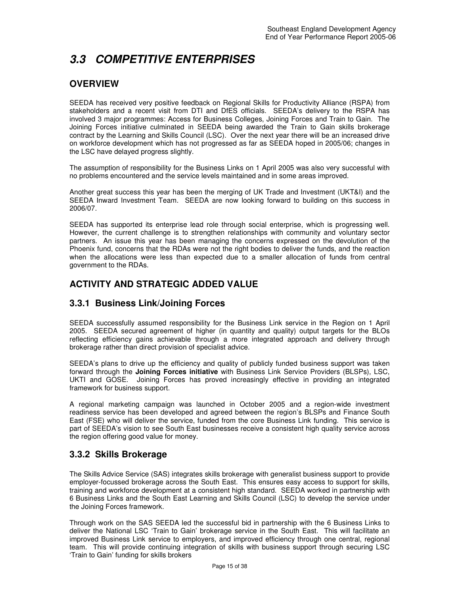# **3.3 COMPETITIVE ENTERPRISES**

## **OVERVIEW**

SEEDA has received very positive feedback on Regional Skills for Productivity Alliance (RSPA) from stakeholders and a recent visit from DTI and DfES officials. SEEDA's delivery to the RSPA has involved 3 major programmes: Access for Business Colleges, Joining Forces and Train to Gain. The Joining Forces initiative culminated in SEEDA being awarded the Train to Gain skills brokerage contract by the Learning and Skills Council (LSC). Over the next year there will be an increased drive on workforce development which has not progressed as far as SEEDA hoped in 2005/06; changes in the LSC have delayed progress slightly.

The assumption of responsibility for the Business Links on 1 April 2005 was also very successful with no problems encountered and the service levels maintained and in some areas improved.

Another great success this year has been the merging of UK Trade and Investment (UKT&I) and the SEEDA Inward Investment Team. SEEDA are now looking forward to building on this success in 2006/07.

SEEDA has supported its enterprise lead role through social enterprise, which is progressing well. However, the current challenge is to strengthen relationships with community and voluntary sector partners. An issue this year has been managing the concerns expressed on the devolution of the Phoenix fund, concerns that the RDAs were not the right bodies to deliver the funds, and the reaction when the allocations were less than expected due to a smaller allocation of funds from central government to the RDAs.

### **ACTIVITY AND STRATEGIC ADDED VALUE**

### **3.3.1 Business Link/Joining Forces**

SEEDA successfully assumed responsibility for the Business Link service in the Region on 1 April 2005. SEEDA secured agreement of higher (in quantity and quality) output targets for the BLOs reflecting efficiency gains achievable through a more integrated approach and delivery through brokerage rather than direct provision of specialist advice.

SEEDA's plans to drive up the efficiency and quality of publicly funded business support was taken forward through the **Joining Forces initiative** with Business Link Service Providers (BLSPs), LSC, UKTI and GOSE. Joining Forces has proved increasingly effective in providing an integrated framework for business support.

A regional marketing campaign was launched in October 2005 and a region-wide investment readiness service has been developed and agreed between the region's BLSPs and Finance South East (FSE) who will deliver the service, funded from the core Business Link funding. This service is part of SEEDA's vision to see South East businesses receive a consistent high quality service across the region offering good value for money.

### **3.3.2 Skills Brokerage**

The Skills Advice Service (SAS) integrates skills brokerage with generalist business support to provide employer-focussed brokerage across the South East. This ensures easy access to support for skills, training and workforce development at a consistent high standard. SEEDA worked in partnership with 6 Business Links and the South East Learning and Skills Council (LSC) to develop the service under the Joining Forces framework.

Through work on the SAS SEEDA led the successful bid in partnership with the 6 Business Links to deliver the National LSC 'Train to Gain' brokerage service in the South East. This will facilitate an improved Business Link service to employers, and improved efficiency through one central, regional team. This will provide continuing integration of skills with business support through securing LSC 'Train to Gain' funding for skills brokers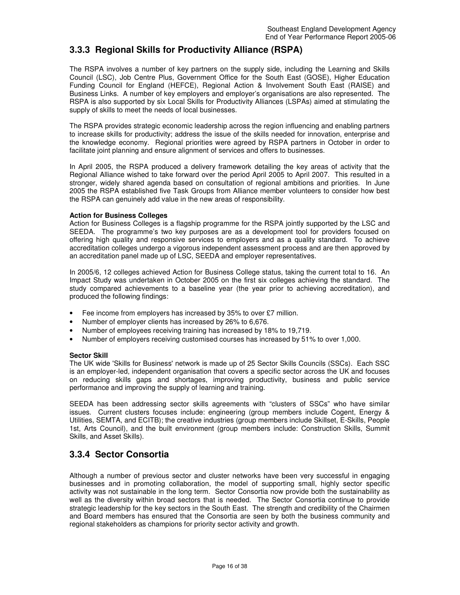### **3.3.3 Regional Skills for Productivity Alliance (RSPA)**

The RSPA involves a number of key partners on the supply side, including the Learning and Skills Council (LSC), Job Centre Plus, Government Office for the South East (GOSE), Higher Education Funding Council for England (HEFCE), Regional Action & Involvement South East (RAISE) and Business Links. A number of key employers and employer's organisations are also represented. The RSPA is also supported by six Local Skills for Productivity Alliances (LSPAs) aimed at stimulating the supply of skills to meet the needs of local businesses.

The RSPA provides strategic economic leadership across the region influencing and enabling partners to increase skills for productivity; address the issue of the skills needed for innovation, enterprise and the knowledge economy. Regional priorities were agreed by RSPA partners in October in order to facilitate joint planning and ensure alignment of services and offers to businesses.

In April 2005, the RSPA produced a delivery framework detailing the key areas of activity that the Regional Alliance wished to take forward over the period April 2005 to April 2007. This resulted in a stronger, widely shared agenda based on consultation of regional ambitions and priorities. In June 2005 the RSPA established five Task Groups from Alliance member volunteers to consider how best the RSPA can genuinely add value in the new areas of responsibility.

#### **Action for Business Colleges**

Action for Business Colleges is a flagship programme for the RSPA jointly supported by the LSC and SEEDA. The programme's two key purposes are as a development tool for providers focused on offering high quality and responsive services to employers and as a quality standard. To achieve accreditation colleges undergo a vigorous independent assessment process and are then approved by an accreditation panel made up of LSC, SEEDA and employer representatives.

In 2005/6, 12 colleges achieved Action for Business College status, taking the current total to 16. An Impact Study was undertaken in October 2005 on the first six colleges achieving the standard. The study compared achievements to a baseline year (the year prior to achieving accreditation), and produced the following findings:

- Fee income from employers has increased by 35% to over £7 million.
- Number of employer clients has increased by 26% to 6,676.
- Number of employees receiving training has increased by 18% to 19,719.
- Number of employers receiving customised courses has increased by 51% to over 1,000.

#### **Sector Skill**

The UK wide 'Skills for Business' network is made up of 25 Sector Skills Councils (SSCs). Each SSC is an employer-led, independent organisation that covers a specific sector across the UK and focuses on reducing skills gaps and shortages, improving productivity, business and public service performance and improving the supply of learning and training.

SEEDA has been addressing sector skills agreements with "clusters of SSCs" who have similar issues. Current clusters focuses include: engineering (group members include Cogent, Energy & Utilities, SEMTA, and ECITB); the creative industries (group members include Skillset, E-Skills, People 1st, Arts Council), and the built environment (group members include: Construction Skills, Summit Skills, and Asset Skills).

### **3.3.4 Sector Consortia**

Although a number of previous sector and cluster networks have been very successful in engaging businesses and in promoting collaboration, the model of supporting small, highly sector specific activity was not sustainable in the long term. Sector Consortia now provide both the sustainability as well as the diversity within broad sectors that is needed. The Sector Consortia continue to provide strategic leadership for the key sectors in the South East. The strength and credibility of the Chairmen and Board members has ensured that the Consortia are seen by both the business community and regional stakeholders as champions for priority sector activity and growth.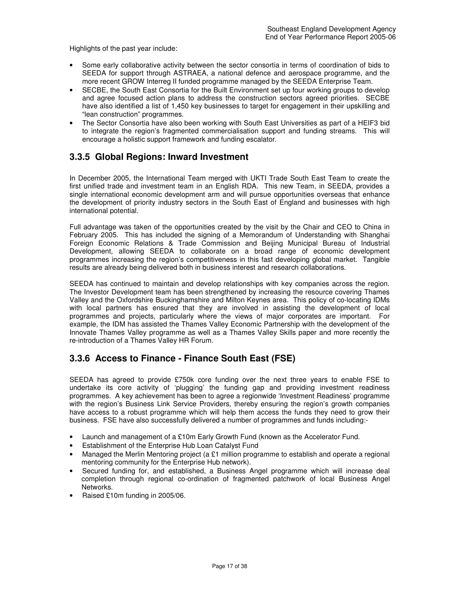Highlights of the past year include:

- Some early collaborative activity between the sector consortia in terms of coordination of bids to SEEDA for support through ASTRAEA, a national defence and aerospace programme, and the more recent GROW Interreg II funded programme managed by the SEEDA Enterprise Team.
- SECBE, the South East Consortia for the Built Environment set up four working groups to develop and agree focused action plans to address the construction sectors agreed priorities. SECBE have also identified a list of 1,450 key businesses to target for engagement in their upskilling and "lean construction" programmes.
- The Sector Consortia have also been working with South East Universities as part of a HEIF3 bid to integrate the region's fragmented commercialisation support and funding streams. This will encourage a holistic support framework and funding escalator.

### **3.3.5 Global Regions: Inward Investment**

In December 2005, the International Team merged with UKTI Trade South East Team to create the first unified trade and investment team in an English RDA. This new Team, in SEEDA, provides a single international economic development arm and will pursue opportunities overseas that enhance the development of priority industry sectors in the South East of England and businesses with high international potential.

Full advantage was taken of the opportunities created by the visit by the Chair and CEO to China in February 2005. This has included the signing of a Memorandum of Understanding with Shanghai Foreign Economic Relations & Trade Commission and Beijing Municipal Bureau of Industrial Development, allowing SEEDA to collaborate on a broad range of economic development programmes increasing the region's competitiveness in this fast developing global market. Tangible results are already being delivered both in business interest and research collaborations.

SEEDA has continued to maintain and develop relationships with key companies across the region. The Investor Development team has been strengthened by increasing the resource covering Thames Valley and the Oxfordshire Buckinghamshire and Milton Keynes area. This policy of co-locating IDMs with local partners has ensured that they are involved in assisting the development of local programmes and projects, particularly where the views of major corporates are important. For example, the IDM has assisted the Thames Valley Economic Partnership with the development of the Innovate Thames Valley programme as well as a Thames Valley Skills paper and more recently the re-introduction of a Thames Valley HR Forum.

### **3.3.6 Access to Finance - Finance South East (FSE)**

SEEDA has agreed to provide £750k core funding over the next three years to enable FSE to undertake its core activity of 'plugging' the funding gap and providing investment readiness programmes. A key achievement has been to agree a regionwide 'Investment Readiness' programme with the region's Business Link Service Providers, thereby ensuring the region's growth companies have access to a robust programme which will help them access the funds they need to grow their business. FSE have also successfully delivered a number of programmes and funds including:-

- Launch and management of a £10m Early Growth Fund (known as the Accelerator Fund.
- Establishment of the Enterprise Hub Loan Catalyst Fund
- Managed the Merlin Mentoring project (a £1 million programme to establish and operate a regional mentoring community for the Enterprise Hub network).
- Secured funding for, and established, a Business Angel programme which will increase deal completion through regional co-ordination of fragmented patchwork of local Business Angel Networks.
- Raised £10m funding in 2005/06.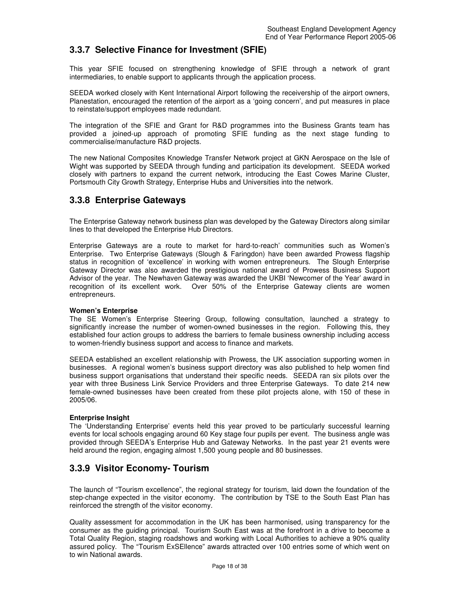### **3.3.7 Selective Finance for Investment (SFIE)**

This year SFIE focused on strengthening knowledge of SFIE through a network of grant intermediaries, to enable support to applicants through the application process.

SEEDA worked closely with Kent International Airport following the receivership of the airport owners, Planestation, encouraged the retention of the airport as a 'going concern', and put measures in place to reinstate/support employees made redundant.

The integration of the SFIE and Grant for R&D programmes into the Business Grants team has provided a joined-up approach of promoting SFIE funding as the next stage funding to commercialise/manufacture R&D projects.

The new National Composites Knowledge Transfer Network project at GKN Aerospace on the Isle of Wight was supported by SEEDA through funding and participation its development. SEEDA worked closely with partners to expand the current network, introducing the East Cowes Marine Cluster, Portsmouth City Growth Strategy, Enterprise Hubs and Universities into the network.

### **3.3.8 Enterprise Gateways**

The Enterprise Gateway network business plan was developed by the Gateway Directors along similar lines to that developed the Enterprise Hub Directors.

Enterprise Gateways are a route to market for hard-to-reach' communities such as Women's Enterprise. Two Enterprise Gateways (Slough & Faringdon) have been awarded Prowess flagship status in recognition of 'excellence' in working with women entrepreneurs. The Slough Enterprise Gateway Director was also awarded the prestigious national award of Prowess Business Support Advisor of the year. The Newhaven Gateway was awarded the UKBI 'Newcomer of the Year' award in recognition of its excellent work. Over 50% of the Enterprise Gateway clients are women entrepreneurs.

#### **Women's Enterprise**

The SE Women's Enterprise Steering Group, following consultation, launched a strategy to significantly increase the number of women-owned businesses in the region. Following this, they established four action groups to address the barriers to female business ownership including access to women-friendly business support and access to finance and markets.

SEEDA established an excellent relationship with Prowess, the UK association supporting women in businesses. A regional women's business support directory was also published to help women find business support organisations that understand their specific needs. SEEDA ran six pilots over the year with three Business Link Service Providers and three Enterprise Gateways. To date 214 new female-owned businesses have been created from these pilot projects alone, with 150 of these in 2005/06.

#### **Enterprise Insight**

The 'Understanding Enterprise' events held this year proved to be particularly successful learning events for local schools engaging around 60 Key stage four pupils per event. The business angle was provided through SEEDA's Enterprise Hub and Gateway Networks. In the past year 21 events were held around the region, engaging almost 1,500 young people and 80 businesses.

### **3.3.9 Visitor Economy- Tourism**

The launch of "Tourism excellence", the regional strategy for tourism, laid down the foundation of the step-change expected in the visitor economy. The contribution by TSE to the South East Plan has reinforced the strength of the visitor economy.

Quality assessment for accommodation in the UK has been harmonised, using transparency for the consumer as the guiding principal. Tourism South East was at the forefront in a drive to become a Total Quality Region, staging roadshows and working with Local Authorities to achieve a 90% quality assured policy. The "Tourism ExSEllence" awards attracted over 100 entries some of which went on to win National awards.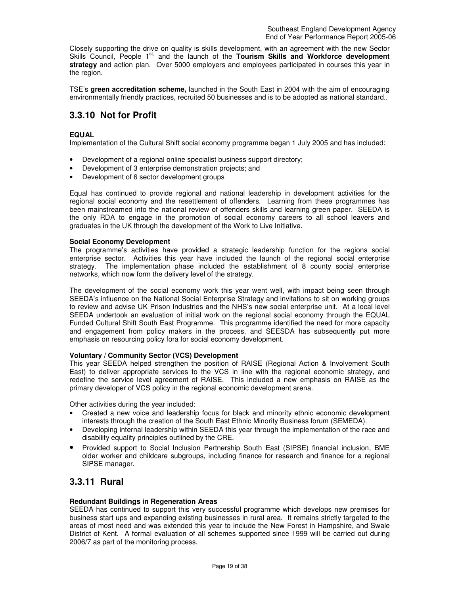Closely supporting the drive on quality is skills development, with an agreement with the new Sector Skills Council, People 1<sup>st,</sup> and the launch of the **Tourism Skills and Workforce development strategy** and action plan. Over 5000 employers and employees participated in courses this year in the region.

TSE's **green accreditation scheme,** launched in the South East in 2004 with the aim of encouraging environmentally friendly practices, recruited 50 businesses and is to be adopted as national standard..

### **3.3.10 Not for Profit**

#### **EQUAL**

Implementation of the Cultural Shift social economy programme began 1 July 2005 and has included:

- Development of a regional online specialist business support directory;
- Development of 3 enterprise demonstration projects; and
- Development of 6 sector development groups

Equal has continued to provide regional and national leadership in development activities for the regional social economy and the resettlement of offenders. Learning from these programmes has been mainstreamed into the national review of offenders skills and learning green paper. SEEDA is the only RDA to engage in the promotion of social economy careers to all school leavers and graduates in the UK through the development of the Work to Live Initiative.

#### **Social Economy Development**

The programme's activities have provided a strategic leadership function for the regions social enterprise sector. Activities this year have included the launch of the regional social enterprise strategy. The implementation phase included the establishment of 8 county social enterprise networks, which now form the delivery level of the strategy.

The development of the social economy work this year went well, with impact being seen through SEEDA's influence on the National Social Enterprise Strategy and invitations to sit on working groups to review and advise UK Prison Industries and the NHS's new social enterprise unit. At a local level SEEDA undertook an evaluation of initial work on the regional social economy through the EQUAL Funded Cultural Shift South East Programme. This programme identified the need for more capacity and engagement from policy makers in the process, and SEESDA has subsequently put more emphasis on resourcing policy fora for social economy development.

#### **Voluntary / Community Sector (VCS) Development**

This year SEEDA helped strengthen the position of RAISE (Regional Action & Involvement South East) to deliver appropriate services to the VCS in line with the regional economic strategy, and redefine the service level agreement of RAISE. This included a new emphasis on RAISE as the primary developer of VCS policy in the regional economic development arena.

Other activities during the year included:

- Created a new voice and leadership focus for black and minority ethnic economic development interests through the creation of the South East Ethnic Minority Business forum (SEMEDA).
- Developing internal leadership within SEEDA this year through the implementation of the race and disability equality principles outlined by the CRE.
- Provided support to Social Inclusion Pertnership South East (SIPSE) financial inclusion, BME older worker and childcare subgroups, including finance for research and finance for a regional SIPSE manager.

### **3.3.11 Rural**

#### **Redundant Buildings in Regeneration Areas**

SEEDA has continued to support this very successful programme which develops new premises for business start ups and expanding existing businesses in rural area. It remains strictly targeted to the areas of most need and was extended this year to include the New Forest in Hampshire, and Swale District of Kent. A formal evaluation of all schemes supported since 1999 will be carried out during 2006/7 as part of the monitoring process.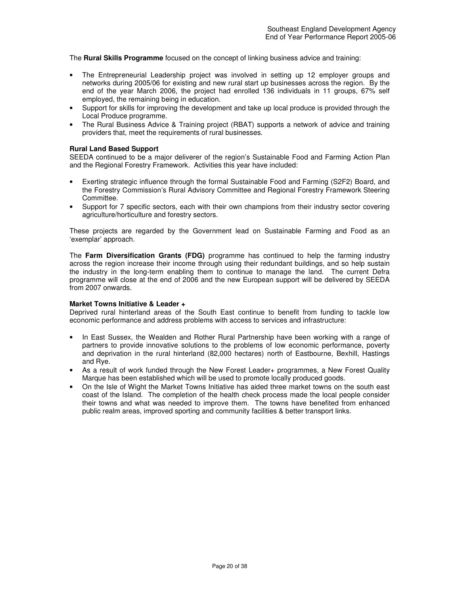The **Rural Skills Programme** focused on the concept of linking business advice and training:

- The Entrepreneurial Leadership project was involved in setting up 12 employer groups and networks during 2005/06 for existing and new rural start up businesses across the region. By the end of the year March 2006, the project had enrolled 136 individuals in 11 groups, 67% self employed, the remaining being in education.
- Support for skills for improving the development and take up local produce is provided through the Local Produce programme.
- The Rural Business Advice & Training project (RBAT) supports a network of advice and training providers that, meet the requirements of rural businesses.

#### **Rural Land Based Support**

SEEDA continued to be a major deliverer of the region's Sustainable Food and Farming Action Plan and the Regional Forestry Framework. Activities this year have included:

- Exerting strategic influence through the formal Sustainable Food and Farming (S2F2) Board, and the Forestry Commission's Rural Advisory Committee and Regional Forestry Framework Steering Committee.
- Support for 7 specific sectors, each with their own champions from their industry sector covering agriculture/horticulture and forestry sectors.

These projects are regarded by the Government lead on Sustainable Farming and Food as an 'exemplar' approach.

The **Farm Diversification Grants (FDG)** programme has continued to help the farming industry across the region increase their income through using their redundant buildings, and so help sustain the industry in the long-term enabling them to continue to manage the land. The current Defra programme will close at the end of 2006 and the new European support will be delivered by SEEDA from 2007 onwards.

#### **Market Towns Initiative & Leader +**

Deprived rural hinterland areas of the South East continue to benefit from funding to tackle low economic performance and address problems with access to services and infrastructure:

- In East Sussex, the Wealden and Rother Rural Partnership have been working with a range of partners to provide innovative solutions to the problems of low economic performance, poverty and deprivation in the rural hinterland (82,000 hectares) north of Eastbourne, Bexhill, Hastings and Rye.
- As a result of work funded through the New Forest Leader+ programmes, a New Forest Quality Marque has been established which will be used to promote locally produced goods.
- On the Isle of Wight the Market Towns Initiative has aided three market towns on the south east coast of the Island. The completion of the health check process made the local people consider their towns and what was needed to improve them. The towns have benefited from enhanced public realm areas, improved sporting and community facilities & better transport links.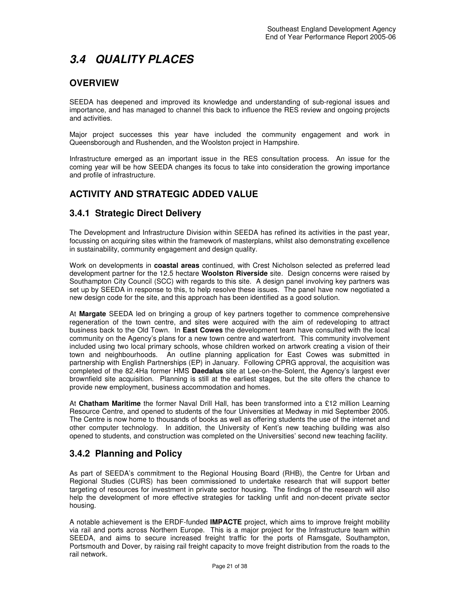# **3.4 QUALITY PLACES**

### **OVERVIEW**

SEEDA has deepened and improved its knowledge and understanding of sub-regional issues and importance, and has managed to channel this back to influence the RES review and ongoing projects and activities.

Major project successes this year have included the community engagement and work in Queensborough and Rushenden, and the Woolston project in Hampshire.

Infrastructure emerged as an important issue in the RES consultation process. An issue for the coming year will be how SEEDA changes its focus to take into consideration the growing importance and profile of infrastructure.

## **ACTIVITY AND STRATEGIC ADDED VALUE**

### **3.4.1 Strategic Direct Delivery**

The Development and Infrastructure Division within SEEDA has refined its activities in the past year, focussing on acquiring sites within the framework of masterplans, whilst also demonstrating excellence in sustainability, community engagement and design quality.

Work on developments in **coastal areas** continued, with Crest Nicholson selected as preferred lead development partner for the 12.5 hectare **Woolston Riverside** site. Design concerns were raised by Southampton City Council (SCC) with regards to this site. A design panel involving key partners was set up by SEEDA in response to this, to help resolve these issues. The panel have now negotiated a new design code for the site, and this approach has been identified as a good solution.

At **Margate** SEEDA led on bringing a group of key partners together to commence comprehensive regeneration of the town centre, and sites were acquired with the aim of redeveloping to attract business back to the Old Town. In **East Cowes** the development team have consulted with the local community on the Agency's plans for a new town centre and waterfront. This community involvement included using two local primary schools, whose children worked on artwork creating a vision of their town and neighbourhoods. An outline planning application for East Cowes was submitted in partnership with English Partnerships (EP) in January. Following CPRG approval, the acquisition was completed of the 82.4Ha former HMS **Daedalus** site at Lee-on-the-Solent, the Agency's largest ever brownfield site acquisition. Planning is still at the earliest stages, but the site offers the chance to provide new employment, business accommodation and homes.

At **Chatham Maritime** the former Naval Drill Hall, has been transformed into a £12 million Learning Resource Centre, and opened to students of the four Universities at Medway in mid September 2005. The Centre is now home to thousands of books as well as offering students the use of the internet and other computer technology. In addition, the University of Kent's new teaching building was also opened to students, and construction was completed on the Universities' second new teaching facility.

## **3.4.2 Planning and Policy**

As part of SEEDA's commitment to the Regional Housing Board (RHB), the Centre for Urban and Regional Studies (CURS) has been commissioned to undertake research that will support better targeting of resources for investment in private sector housing. The findings of the research will also help the development of more effective strategies for tackling unfit and non-decent private sector housing.

A notable achievement is the ERDF-funded **IMPACTE** project, which aims to improve freight mobility via rail and ports across Northern Europe. This is a major project for the Infrastructure team within SEEDA, and aims to secure increased freight traffic for the ports of Ramsgate, Southampton, Portsmouth and Dover, by raising rail freight capacity to move freight distribution from the roads to the rail network.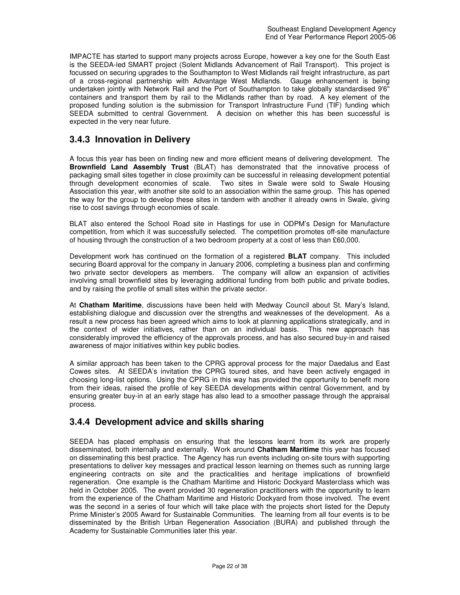IMPACTE has started to support many projects across Europe, however a key one for the South East is the SEEDA-led SMART project (Solent Midlands Advancement of Rail Transport). This project is focussed on securing upgrades to the Southampton to West Midlands rail freight infrastructure, as part of a cross-regional partnership with Advantage West Midlands. Gauge enhancement is being undertaken jointly with Network Rail and the Port of Southampton to take globally standardised 9'6" containers and transport them by rail to the Midlands rather than by road. A key element of the proposed funding solution is the submission for Transport Infrastructure Fund (TIF) funding which SEEDA submitted to central Government. A decision on whether this has been successful is expected in the very near future.

### **3.4.3 Innovation in Delivery**

A focus this year has been on finding new and more efficient means of delivering development. The **Brownfield Land Assembly Trust** (BLAT) has demonstrated that the innovative process of packaging small sites together in close proximity can be successful in releasing development potential through development economies of scale. Two sites in Swale were sold to Swale Housing Association this year, with another site sold to an association within the same group. This has opened the way for the group to develop these sites in tandem with another it already owns in Swale, giving rise to cost savings through economies of scale.

BLAT also entered the School Road site in Hastings for use in ODPM's Design for Manufacture competition, from which it was successfully selected. The competition promotes off-site manufacture of housing through the construction of a two bedroom property at a cost of less than £60,000.

Development work has continued on the formation of a registered **BLAT** company. This included securing Board approval for the company in January 2006, completing a business plan and confirming two private sector developers as members. The company will allow an expansion of activities involving small brownfield sites by leveraging additional funding from both public and private bodies, and by raising the profile of small sites within the private sector.

At **Chatham Maritime**, discussions have been held with Medway Council about St. Mary's Island, establishing dialogue and discussion over the strengths and weaknesses of the development. As a result a new process has been agreed which aims to look at planning applications strategically, and in the context of wider initiatives, rather than on an individual basis. This new approach has considerably improved the efficiency of the approvals process, and has also secured buy-in and raised awareness of major initiatives within key public bodies.

A similar approach has been taken to the CPRG approval process for the major Daedalus and East Cowes sites. At SEEDA's invitation the CPRG toured sites, and have been actively engaged in choosing long-list options. Using the CPRG in this way has provided the opportunity to benefit more from their ideas, raised the profile of key SEEDA developments within central Government, and by ensuring greater buy-in at an early stage has also lead to a smoother passage through the appraisal process.

### **3.4.4 Development advice and skills sharing**

SEEDA has placed emphasis on ensuring that the lessons learnt from its work are properly disseminated, both internally and externally. Work around **Chatham Maritime** this year has focused on disseminating this best practice. The Agency has run events including on-site tours with supporting presentations to deliver key messages and practical lesson learning on themes such as running large engineering contracts on site and the practicalities and heritage implications of brownfield regeneration. One example is the Chatham Maritime and Historic Dockyard Masterclass which was held in October 2005. The event provided 30 regeneration practitioners with the opportunity to learn from the experience of the Chatham Maritime and Historic Dockyard from those involved. The event was the second in a series of four which will take place with the projects short listed for the Deputy Prime Minister's 2005 Award for Sustainable Communities. The learning from all four events is to be disseminated by the British Urban Regeneration Association (BURA) and published through the Academy for Sustainable Communities later this year.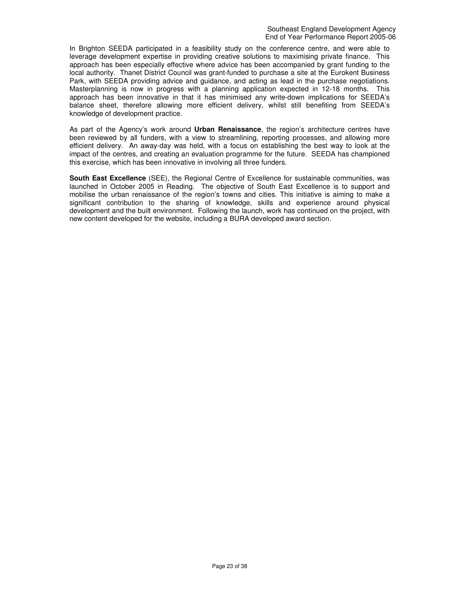In Brighton SEEDA participated in a feasibility study on the conference centre, and were able to leverage development expertise in providing creative solutions to maximising private finance. This approach has been especially effective where advice has been accompanied by grant funding to the local authority. Thanet District Council was grant-funded to purchase a site at the Eurokent Business Park, with SEEDA providing advice and guidance, and acting as lead in the purchase negotiations. Masterplanning is now in progress with a planning application expected in 12-18 months. This approach has been innovative in that it has minimised any write-down implications for SEEDA's balance sheet, therefore allowing more efficient delivery, whilst still benefiting from SEEDA's knowledge of development practice.

As part of the Agency's work around **Urban Renaissance**, the region's architecture centres have been reviewed by all funders, with a view to streamlining, reporting processes, and allowing more efficient delivery. An away-day was held, with a focus on establishing the best way to look at the impact of the centres, and creating an evaluation programme for the future. SEEDA has championed this exercise, which has been innovative in involving all three funders.

**South East Excellence** (SEE), the Regional Centre of Excellence for sustainable communities, was launched in October 2005 in Reading. The objective of South East Excellence is to support and mobilise the urban renaissance of the region's towns and cities. This initiative is aiming to make a significant contribution to the sharing of knowledge, skills and experience around physical development and the built environment. Following the launch, work has continued on the project, with new content developed for the website, including a BURA developed award section.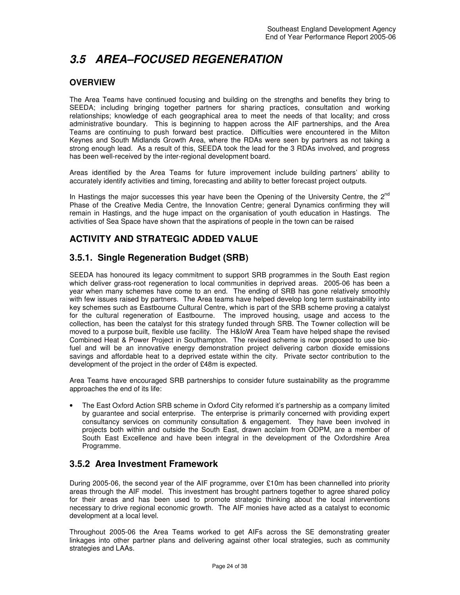# **3.5 AREA–FOCUSED REGENERATION**

### **OVERVIEW**

The Area Teams have continued focusing and building on the strengths and benefits they bring to SEEDA; including bringing together partners for sharing practices, consultation and working relationships; knowledge of each geographical area to meet the needs of that locality; and cross administrative boundary. This is beginning to happen across the AIF partnerships, and the Area Teams are continuing to push forward best practice. Difficulties were encountered in the Milton Keynes and South Midlands Growth Area, where the RDAs were seen by partners as not taking a strong enough lead. As a result of this, SEEDA took the lead for the 3 RDAs involved, and progress has been well-received by the inter-regional development board.

Areas identified by the Area Teams for future improvement include building partners' ability to accurately identify activities and timing, forecasting and ability to better forecast project outputs.

In Hastings the major successes this year have been the Opening of the University Centre, the  $2<sup>nd</sup>$ Phase of the Creative Media Centre, the Innovation Centre; general Dynamics confirming they will remain in Hastings, and the huge impact on the organisation of youth education in Hastings. The activities of Sea Space have shown that the aspirations of people in the town can be raised

### **ACTIVITY AND STRATEGIC ADDED VALUE**

### **3.5.1. Single Regeneration Budget (SRB)**

SEEDA has honoured its legacy commitment to support SRB programmes in the South East region which deliver grass-root regeneration to local communities in deprived areas. 2005-06 has been a year when many schemes have come to an end. The ending of SRB has gone relatively smoothly with few issues raised by partners. The Area teams have helped develop long term sustainability into key schemes such as Eastbourne Cultural Centre, which is part of the SRB scheme proving a catalyst for the cultural regeneration of Eastbourne. The improved housing, usage and access to the collection, has been the catalyst for this strategy funded through SRB. The Towner collection will be moved to a purpose built, flexible use facility. The H&IoW Area Team have helped shape the revised Combined Heat & Power Project in Southampton. The revised scheme is now proposed to use biofuel and will be an innovative energy demonstration project delivering carbon dioxide emissions savings and affordable heat to a deprived estate within the city. Private sector contribution to the development of the project in the order of £48m is expected.

Area Teams have encouraged SRB partnerships to consider future sustainability as the programme approaches the end of its life:

• The East Oxford Action SRB scheme in Oxford City reformed it's partnership as a company limited by guarantee and social enterprise. The enterprise is primarily concerned with providing expert consultancy services on community consultation & engagement. They have been involved in projects both within and outside the South East, drawn acclaim from ODPM, are a member of South East Excellence and have been integral in the development of the Oxfordshire Area Programme.

### **3.5.2 Area Investment Framework**

During 2005-06, the second year of the AIF programme, over £10m has been channelled into priority areas through the AIF model. This investment has brought partners together to agree shared policy for their areas and has been used to promote strategic thinking about the local interventions necessary to drive regional economic growth. The AIF monies have acted as a catalyst to economic development at a local level.

Throughout 2005-06 the Area Teams worked to get AIFs across the SE demonstrating greater linkages into other partner plans and delivering against other local strategies, such as community strategies and LAAs.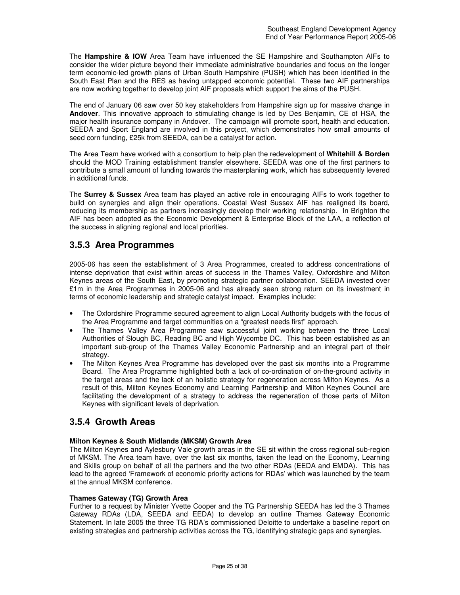The **Hampshire & IOW** Area Team have influenced the SE Hampshire and Southampton AIFs to consider the wider picture beyond their immediate administrative boundaries and focus on the longer term economic-led growth plans of Urban South Hampshire (PUSH) which has been identified in the South East Plan and the RES as having untapped economic potential. These two AIF partnerships are now working together to develop joint AIF proposals which support the aims of the PUSH.

The end of January 06 saw over 50 key stakeholders from Hampshire sign up for massive change in **Andover**. This innovative approach to stimulating change is led by Des Benjamin, CE of HSA, the major health insurance company in Andover. The campaign will promote sport, health and education. SEEDA and Sport England are involved in this project, which demonstrates how small amounts of seed corn funding, £25k from SEEDA, can be a catalyst for action.

The Area Team have worked with a consortium to help plan the redevelopment of **Whitehill & Borden**  should the MOD Training establishment transfer elsewhere. SEEDA was one of the first partners to contribute a small amount of funding towards the masterplaning work, which has subsequently levered in additional funds.

The **Surrey & Sussex** Area team has played an active role in encouraging AIFs to work together to build on synergies and align their operations. Coastal West Sussex AIF has realigned its board, reducing its membership as partners increasingly develop their working relationship. In Brighton the AIF has been adopted as the Economic Development & Enterprise Block of the LAA, a reflection of the success in aligning regional and local priorities.

### **3.5.3 Area Programmes**

2005-06 has seen the establishment of 3 Area Programmes, created to address concentrations of intense deprivation that exist within areas of success in the Thames Valley, Oxfordshire and Milton Keynes areas of the South East, by promoting strategic partner collaboration. SEEDA invested over £1m in the Area Programmes in 2005-06 and has already seen strong return on its investment in terms of economic leadership and strategic catalyst impact. Examples include:

- The Oxfordshire Programme secured agreement to align Local Authority budgets with the focus of the Area Programme and target communities on a "greatest needs first" approach.
- The Thames Valley Area Programme saw successful joint working between the three Local Authorities of Slough BC, Reading BC and High Wycombe DC. This has been established as an important sub-group of the Thames Valley Economic Partnership and an integral part of their strategy.
- The Milton Keynes Area Programme has developed over the past six months into a Programme Board. The Area Programme highlighted both a lack of co-ordination of on-the-ground activity in the target areas and the lack of an holistic strategy for regeneration across Milton Keynes. As a result of this, Milton Keynes Economy and Learning Partnership and Milton Keynes Council are facilitating the development of a strategy to address the regeneration of those parts of Milton Keynes with significant levels of deprivation.

### **3.5.4 Growth Areas**

#### **Milton Keynes & South Midlands (MKSM) Growth Area**

The Milton Keynes and Aylesbury Vale growth areas in the SE sit within the cross regional sub-region of MKSM. The Area team have, over the last six months, taken the lead on the Economy, Learning and Skills group on behalf of all the partners and the two other RDAs (EEDA and EMDA). This has lead to the agreed 'Framework of economic priority actions for RDAs' which was launched by the team at the annual MKSM conference.

#### **Thames Gateway (TG) Growth Area**

Further to a request by Minister Yvette Cooper and the TG Partnership SEEDA has led the 3 Thames Gateway RDAs (LDA, SEEDA and EEDA) to develop an outline Thames Gateway Economic Statement. In late 2005 the three TG RDA's commissioned Deloitte to undertake a baseline report on existing strategies and partnership activities across the TG, identifying strategic gaps and synergies.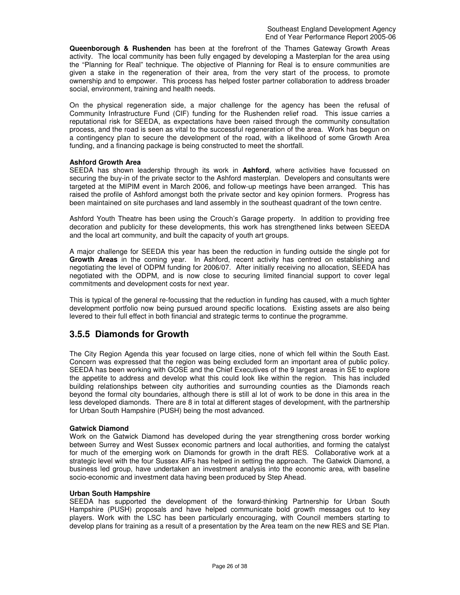**Queenborough & Rushenden** has been at the forefront of the Thames Gateway Growth Areas activity. The local community has been fully engaged by developing a Masterplan for the area using the "Planning for Real" technique. The objective of Planning for Real is to ensure communities are given a stake in the regeneration of their area, from the very start of the process, to promote ownership and to empower. This process has helped foster partner collaboration to address broader social, environment, training and health needs.

On the physical regeneration side, a major challenge for the agency has been the refusal of Community Infrastructure Fund (CIF) funding for the Rushenden relief road. This issue carries a reputational risk for SEEDA, as expectations have been raised through the community consultation process, and the road is seen as vital to the successful regeneration of the area. Work has begun on a contingency plan to secure the development of the road, with a likelihood of some Growth Area funding, and a financing package is being constructed to meet the shortfall.

#### **Ashford Growth Area**

SEEDA has shown leadership through its work in **Ashford**, where activities have focussed on securing the buy-in of the private sector to the Ashford masterplan. Developers and consultants were targeted at the MIPIM event in March 2006, and follow-up meetings have been arranged. This has raised the profile of Ashford amongst both the private sector and key opinion formers. Progress has been maintained on site purchases and land assembly in the southeast quadrant of the town centre.

Ashford Youth Theatre has been using the Crouch's Garage property. In addition to providing free decoration and publicity for these developments, this work has strengthened links between SEEDA and the local art community, and built the capacity of youth art groups.

A major challenge for SEEDA this year has been the reduction in funding outside the single pot for **Growth Areas** in the coming year. In Ashford, recent activity has centred on establishing and negotiating the level of ODPM funding for 2006/07. After initially receiving no allocation, SEEDA has negotiated with the ODPM, and is now close to securing limited financial support to cover legal commitments and development costs for next year.

This is typical of the general re-focussing that the reduction in funding has caused, with a much tighter development portfolio now being pursued around specific locations. Existing assets are also being levered to their full effect in both financial and strategic terms to continue the programme.

### **3.5.5 Diamonds for Growth**

The City Region Agenda this year focused on large cities, none of which fell within the South East. Concern was expressed that the region was being excluded form an important area of public policy. SEEDA has been working with GOSE and the Chief Executives of the 9 largest areas in SE to explore the appetite to address and develop what this could look like within the region. This has included building relationships between city authorities and surrounding counties as the Diamonds reach beyond the formal city boundaries, although there is still al lot of work to be done in this area in the less developed diamonds. There are 8 in total at different stages of development, with the partnership for Urban South Hampshire (PUSH) being the most advanced.

#### **Gatwick Diamond**

Work on the Gatwick Diamond has developed during the year strengthening cross border working between Surrey and West Sussex economic partners and local authorities, and forming the catalyst for much of the emerging work on Diamonds for growth in the draft RES. Collaborative work at a strategic level with the four Sussex AIFs has helped in setting the approach. The Gatwick Diamond, a business led group, have undertaken an investment analysis into the economic area, with baseline socio-economic and investment data having been produced by Step Ahead.

#### **Urban South Hampshire**

SEEDA has supported the development of the forward-thinking Partnership for Urban South Hampshire (PUSH) proposals and have helped communicate bold growth messages out to key players. Work with the LSC has been particularly encouraging, with Council members starting to develop plans for training as a result of a presentation by the Area team on the new RES and SE Plan.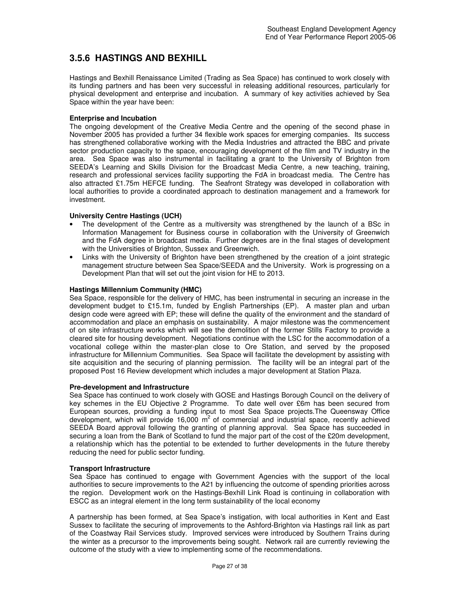## **3.5.6 HASTINGS AND BEXHILL**

Hastings and Bexhill Renaissance Limited (Trading as Sea Space) has continued to work closely with its funding partners and has been very successful in releasing additional resources, particularly for physical development and enterprise and incubation. A summary of key activities achieved by Sea Space within the year have been:

#### **Enterprise and Incubation**

The ongoing development of the Creative Media Centre and the opening of the second phase in November 2005 has provided a further 34 flexible work spaces for emerging companies. Its success has strengthened collaborative working with the Media Industries and attracted the BBC and private sector production capacity to the space, encouraging development of the film and TV industry in the area. Sea Space was also instrumental in facilitating a grant to the University of Brighton from SEEDA's Learning and Skills Division for the Broadcast Media Centre, a new teaching, training, research and professional services facility supporting the FdA in broadcast media. The Centre has also attracted £1.75m HEFCE funding. The Seafront Strategy was developed in collaboration with local authorities to provide a coordinated approach to destination management and a framework for investment.

#### **University Centre Hastings (UCH)**

- The development of the Centre as a multiversity was strengthened by the launch of a BSc in Information Management for Business course in collaboration with the University of Greenwich and the FdA degree in broadcast media. Further degrees are in the final stages of development with the Universities of Brighton, Sussex and Greenwich.
- Links with the University of Brighton have been strengthened by the creation of a joint strategic management structure between Sea Space/SEEDA and the University. Work is progressing on a Development Plan that will set out the joint vision for HE to 2013.

#### **Hastings Millennium Community (HMC)**

Sea Space, responsible for the delivery of HMC, has been instrumental in securing an increase in the development budget to £15.1m, funded by English Partnerships (EP). A master plan and urban design code were agreed with EP; these will define the quality of the environment and the standard of accommodation and place an emphasis on sustainability. A major milestone was the commencement of on site infrastructure works which will see the demolition of the former Stills Factory to provide a cleared site for housing development. Negotiations continue with the LSC for the accommodation of a vocational college within the master-plan close to Ore Station, and served by the proposed infrastructure for Millennium Communities. Sea Space will facilitate the development by assisting with site acquisition and the securing of planning permission. The facility will be an integral part of the proposed Post 16 Review development which includes a major development at Station Plaza.

#### **Pre-development and Infrastructure**

Sea Space has continued to work closely with GOSE and Hastings Borough Council on the delivery of key schemes in the EU Objective 2 Programme. To date well over £6m has been secured from European sources, providing a funding input to most Sea Space projects.The Queensway Office development, which will provide 16,000  $m^2$  of commercial and industrial space, recently achieved SEEDA Board approval following the granting of planning approval. Sea Space has succeeded in securing a loan from the Bank of Scotland to fund the major part of the cost of the £20m development, a relationship which has the potential to be extended to further developments in the future thereby reducing the need for public sector funding.

#### **Transport Infrastructure**

Sea Space has continued to engage with Government Agencies with the support of the local authorities to secure improvements to the A21 by influencing the outcome of spending priorities across the region. Development work on the Hastings-Bexhill Link Road is continuing in collaboration with ESCC as an integral element in the long term sustainability of the local economy

A partnership has been formed, at Sea Space's instigation, with local authorities in Kent and East Sussex to facilitate the securing of improvements to the Ashford-Brighton via Hastings rail link as part of the Coastway Rail Services study. Improved services were introduced by Southern Trains during the winter as a precursor to the improvements being sought. Network rail are currently reviewing the outcome of the study with a view to implementing some of the recommendations.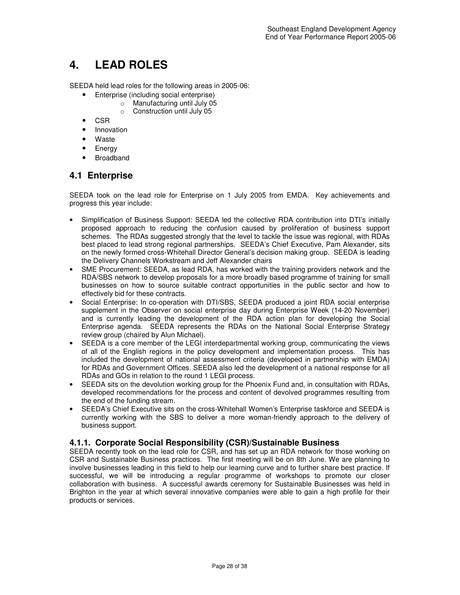# **4. LEAD ROLES**

SEEDA held lead roles for the following areas in 2005-06:

- Enterprise (including social enterprise)
	- o Manufacturing until July 05
	- o Construction until July 05
- CSR
- Innovation
- Waste
- Energy
- Broadband

### **4.1 Enterprise**

SEEDA took on the lead role for Enterprise on 1 July 2005 from EMDA. Key achievements and progress this year include:

- Simplification of Business Support: SEEDA led the collective RDA contribution into DTI's initially proposed approach to reducing the confusion caused by proliferation of business support schemes. The RDAs suggested strongly that the level to tackle the issue was regional, with RDAs best placed to lead strong regional partnerships. SEEDA's Chief Executive, Pam Alexander, sits on the newly formed cross-Whitehall Director General's decision making group. SEEDA is leading the Delivery Channels Workstream and Jeff Alexander chairs
- SME Procurement: SEEDA, as lead RDA, has worked with the training providers network and the RDA/SBS network to develop proposals for a more broadly based programme of training for small businesses on how to source suitable contract opportunities in the public sector and how to effectively bid for these contracts.
- Social Enterprise: In co-operation with DTI/SBS, SEEDA produced a joint RDA social enterprise supplement in the Observer on social enterprise day during Enterprise Week (14-20 November) and is currently leading the development of the RDA action plan for developing the Social Enterprise agenda. SEEDA represents the RDAs on the National Social Enterprise Strategy review group (chaired by Alun Michael).
- SEEDA is a core member of the LEGI interdepartmental working group, communicating the views of all of the English regions in the policy development and implementation process. This has included the development of national assessment criteria (developed in partnership with EMDA) for RDAs and Government Offices. SEEDA also led the development of a national response for all RDAs and GOs in relation to the round 1 LEGI process.
- SEEDA sits on the devolution working group for the Phoenix Fund and, in consultation with RDAs, developed recommendations for the process and content of devolved programmes resulting from the end of the funding stream.
- SEEDA's Chief Executive sits on the cross-Whitehall Women's Enterprise taskforce and SEEDA is currently working with the SBS to deliver a more woman-friendly approach to the delivery of business support.

### **4.1.1. Corporate Social Responsibility (CSR)/Sustainable Business**

SEEDA recently took on the lead role for CSR, and has set up an RDA network for those working on CSR and Sustainable Business practices. The first meeting will be on 8th June. We are planning to involve businesses leading in this field to help our learning curve and to further share best practice. If successful, we will be introducing a regular programme of workshops to promote our closer collaboration with business. A successful awards ceremony for Sustainable Businesses was held in Brighton in the year at which several innovative companies were able to gain a high profile for their products or services.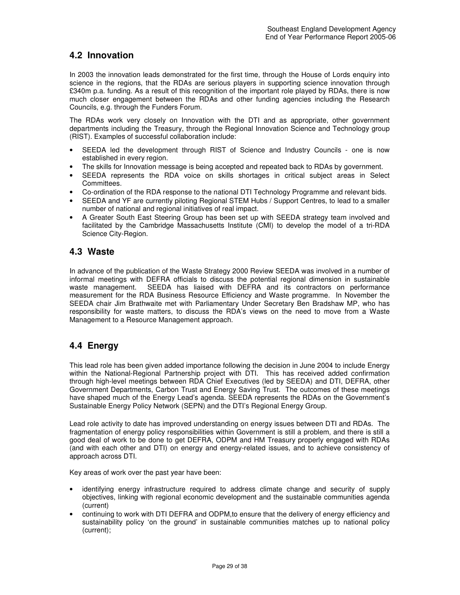## **4.2 Innovation**

In 2003 the innovation leads demonstrated for the first time, through the House of Lords enquiry into science in the regions, that the RDAs are serious players in supporting science innovation through £340m p.a. funding. As a result of this recognition of the important role played by RDAs, there is now much closer engagement between the RDAs and other funding agencies including the Research Councils, e.g. through the Funders Forum.

The RDAs work very closely on Innovation with the DTI and as appropriate, other government departments including the Treasury, through the Regional Innovation Science and Technology group (RIST). Examples of successful collaboration include:

- SEEDA led the development through RIST of Science and Industry Councils one is now established in every region.
- The skills for Innovation message is being accepted and repeated back to RDAs by government.
- SEEDA represents the RDA voice on skills shortages in critical subject areas in Select Committees.
- Co-ordination of the RDA response to the national DTI Technology Programme and relevant bids.
- SEEDA and YF are currently piloting Regional STEM Hubs / Support Centres, to lead to a smaller number of national and regional initiatives of real impact.
- A Greater South East Steering Group has been set up with SEEDA strategy team involved and facilitated by the Cambridge Massachusetts Institute (CMI) to develop the model of a tri-RDA Science City-Region.

### **4.3 Waste**

In advance of the publication of the Waste Strategy 2000 Review SEEDA was involved in a number of informal meetings with DEFRA officials to discuss the potential regional dimension in sustainable waste management. SEEDA has liaised with DEFRA and its contractors on performance measurement for the RDA Business Resource Efficiency and Waste programme. In November the SEEDA chair Jim Brathwaite met with Parliamentary Under Secretary Ben Bradshaw MP, who has responsibility for waste matters, to discuss the RDA's views on the need to move from a Waste Management to a Resource Management approach.

## **4.4 Energy**

This lead role has been given added importance following the decision in June 2004 to include Energy within the National-Regional Partnership project with DTI. This has received added confirmation through high-level meetings between RDA Chief Executives (led by SEEDA) and DTI, DEFRA, other Government Departments, Carbon Trust and Energy Saving Trust. The outcomes of these meetings have shaped much of the Energy Lead's agenda. SEEDA represents the RDAs on the Government's Sustainable Energy Policy Network (SEPN) and the DTI's Regional Energy Group.

Lead role activity to date has improved understanding on energy issues between DTI and RDAs. The fragmentation of energy policy responsibilities within Government is still a problem, and there is still a good deal of work to be done to get DEFRA, ODPM and HM Treasury properly engaged with RDAs (and with each other and DTI) on energy and energy-related issues, and to achieve consistency of approach across DTI.

Key areas of work over the past year have been:

- identifying energy infrastructure required to address climate change and security of supply objectives, linking with regional economic development and the sustainable communities agenda (current)
- continuing to work with DTI DEFRA and ODPM,to ensure that the delivery of energy efficiency and sustainability policy 'on the ground' in sustainable communities matches up to national policy (current);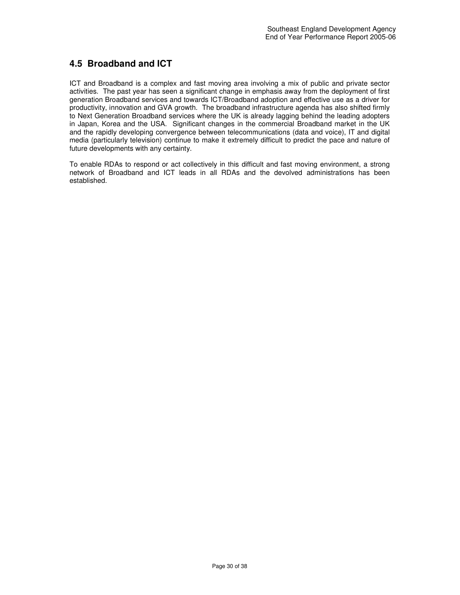## **4.5 Broadband and ICT**

ICT and Broadband is a complex and fast moving area involving a mix of public and private sector activities. The past year has seen a significant change in emphasis away from the deployment of first generation Broadband services and towards ICT/Broadband adoption and effective use as a driver for productivity, innovation and GVA growth. The broadband infrastructure agenda has also shifted firmly to Next Generation Broadband services where the UK is already lagging behind the leading adopters in Japan, Korea and the USA. Significant changes in the commercial Broadband market in the UK and the rapidly developing convergence between telecommunications (data and voice), IT and digital media (particularly television) continue to make it extremely difficult to predict the pace and nature of future developments with any certainty.

To enable RDAs to respond or act collectively in this difficult and fast moving environment, a strong network of Broadband and ICT leads in all RDAs and the devolved administrations has been established.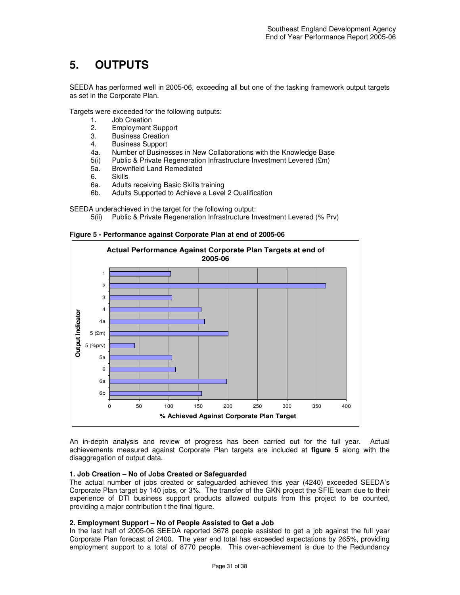# **5. OUTPUTS**

SEEDA has performed well in 2005-06, exceeding all but one of the tasking framework output targets as set in the Corporate Plan.

Targets were exceeded for the following outputs:

- 1. Job Creation
- 2. Employment Support
- 3. Business Creation
- 4. Business Support
- 4a. Number of Businesses in New Collaborations with the Knowledge Base
- 5(i) Public & Private Regeneration Infrastructure Investment Levered (£m)
- 5a. Brownfield Land Remediated
- 6. Skills
- 6a. Adults receiving Basic Skills training
- 6b. Adults Supported to Achieve a Level 2 Qualification

SEEDA underachieved in the target for the following output:

5(ii) Public & Private Regeneration Infrastructure Investment Levered (% Prv)

**Figure 5 - Performance against Corporate Plan at end of 2005-06** 



An in-depth analysis and review of progress has been carried out for the full year. Actual achievements measured against Corporate Plan targets are included at **figure 5** along with the disaggregation of output data.

#### **1. Job Creation – No of Jobs Created or Safeguarded**

The actual number of jobs created or safeguarded achieved this year (4240) exceeded SEEDA's Corporate Plan target by 140 jobs, or 3%. The transfer of the GKN project the SFIE team due to their experience of DTI business support products allowed outputs from this project to be counted, providing a major contribution t the final figure.

#### **2. Employment Support – No of People Assisted to Get a Job**

In the last half of 2005-06 SEEDA reported 3678 people assisted to get a job against the full year Corporate Plan forecast of 2400. The year end total has exceeded expectations by 265%, providing employment support to a total of 8770 people. This over-achievement is due to the Redundancy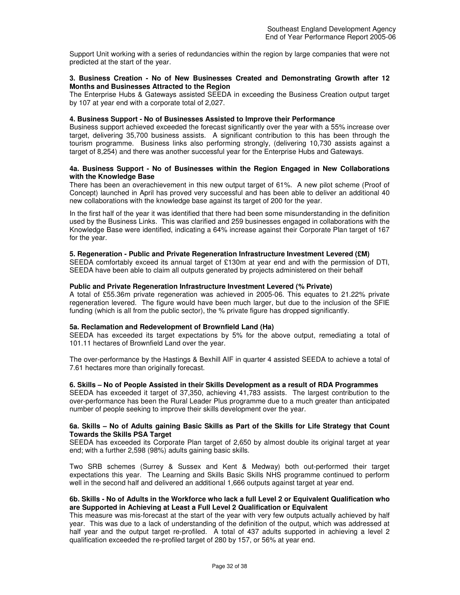Support Unit working with a series of redundancies within the region by large companies that were not predicted at the start of the year.

#### **3. Business Creation - No of New Businesses Created and Demonstrating Growth after 12 Months and Businesses Attracted to the Region**

The Enterprise Hubs & Gateways assisted SEEDA in exceeding the Business Creation output target by 107 at year end with a corporate total of 2,027.

#### **4. Business Support - No of Businesses Assisted to Improve their Performance**

Business support achieved exceeded the forecast significantly over the year with a 55% increase over target, delivering 35,700 business assists. A significant contribution to this has been through the tourism programme. Business links also performing strongly, (delivering 10,730 assists against a target of 8,254) and there was another successful year for the Enterprise Hubs and Gateways.

#### **4a. Business Support - No of Businesses within the Region Engaged in New Collaborations with the Knowledge Base**

There has been an overachievement in this new output target of 61%. A new pilot scheme (Proof of Concept) launched in April has proved very successful and has been able to deliver an additional 40 new collaborations with the knowledge base against its target of 200 for the year.

In the first half of the year it was identified that there had been some misunderstanding in the definition used by the Business Links. This was clarified and 259 businesses engaged in collaborations with the Knowledge Base were identified, indicating a 64% increase against their Corporate Plan target of 167 for the year.

#### **5. Regeneration - Public and Private Regeneration Infrastructure Investment Levered (£M)**

SEEDA comfortably exceed its annual target of £130m at year end and with the permission of DTI, SEEDA have been able to claim all outputs generated by projects administered on their behalf

#### **Public and Private Regeneration Infrastructure Investment Levered (% Private)**

A total of £55.36m private regeneration was achieved in 2005-06. This equates to 21.22% private regeneration levered. The figure would have been much larger, but due to the inclusion of the SFIE funding (which is all from the public sector), the % private figure has dropped significantly.

#### **5a. Reclamation and Redevelopment of Brownfield Land (Ha)**

SEEDA has exceeded its target expectations by 5% for the above output, remediating a total of 101.11 hectares of Brownfield Land over the year.

The over-performance by the Hastings & Bexhill AIF in quarter 4 assisted SEEDA to achieve a total of 7.61 hectares more than originally forecast.

#### **6. Skills – No of People Assisted in their Skills Development as a result of RDA Programmes**

SEEDA has exceeded it target of 37,350, achieving 41,783 assists. The largest contribution to the over-performance has been the Rural Leader Plus programme due to a much greater than anticipated number of people seeking to improve their skills development over the year.

#### **6a. Skills – No of Adults gaining Basic Skills as Part of the Skills for Life Strategy that Count Towards the Skills PSA Target**

SEEDA has exceeded its Corporate Plan target of 2,650 by almost double its original target at year end; with a further 2,598 (98%) adults gaining basic skills.

Two SRB schemes (Surrey & Sussex and Kent & Medway) both out-performed their target expectations this year. The Learning and Skills Basic Skills NHS programme continued to perform well in the second half and delivered an additional 1,666 outputs against target at year end.

#### **6b. Skills - No of Adults in the Workforce who lack a full Level 2 or Equivalent Qualification who are Supported in Achieving at Least a Full Level 2 Qualification or Equivalent**

This measure was mis-forecast at the start of the year with very few outputs actually achieved by half year. This was due to a lack of understanding of the definition of the output, which was addressed at half year and the output target re-profiled. A total of 437 adults supported in achieving a level 2 qualification exceeded the re-profiled target of 280 by 157, or 56% at year end.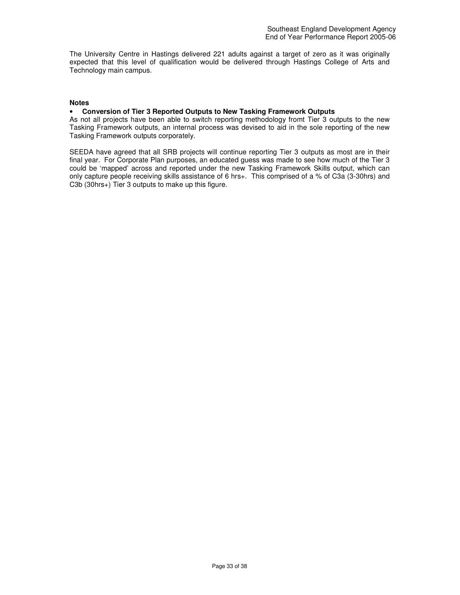The University Centre in Hastings delivered 221 adults against a target of zero as it was originally expected that this level of qualification would be delivered through Hastings College of Arts and Technology main campus.

#### **Notes**

#### • **Conversion of Tier 3 Reported Outputs to New Tasking Framework Outputs**

As not all projects have been able to switch reporting methodology fromt Tier 3 outputs to the new Tasking Framework outputs, an internal process was devised to aid in the sole reporting of the new Tasking Framework outputs corporately.

SEEDA have agreed that all SRB projects will continue reporting Tier 3 outputs as most are in their final year. For Corporate Plan purposes, an educated guess was made to see how much of the Tier 3 could be 'mapped' across and reported under the new Tasking Framework Skills output, which can only capture people receiving skills assistance of 6 hrs+. This comprised of a % of C3a (3-30hrs) and C3b (30hrs+) Tier 3 outputs to make up this figure.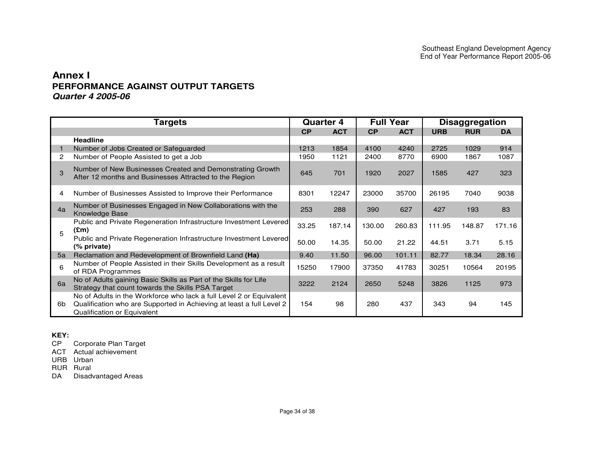### **PERFORMANCE AGAINST OUTPUT TARGETS Quarter 4 2005-06Annex I**

| <b>Targets</b> |                                                                                                                                                                            | <b>Quarter 4</b> |            | <b>Full Year</b> |            | <b>Disaggregation</b> |            |           |
|----------------|----------------------------------------------------------------------------------------------------------------------------------------------------------------------------|------------------|------------|------------------|------------|-----------------------|------------|-----------|
|                |                                                                                                                                                                            | CP               | <b>ACT</b> | CP               | <b>ACT</b> | <b>URB</b>            | <b>RUR</b> | <b>DA</b> |
|                | <b>Headline</b>                                                                                                                                                            |                  |            |                  |            |                       |            |           |
| 1              | Number of Jobs Created or Safeguarded                                                                                                                                      | 1213             | 1854       | 4100             | 4240       | 2725                  | 1029       | 914       |
| 2              | Number of People Assisted to get a Job                                                                                                                                     | 1950             | 1121       | 2400             | 8770       | 6900                  | 1867       | 1087      |
| 3              | Number of New Businesses Created and Demonstrating Growth<br>After 12 months and Businesses Attracted to the Region                                                        | 645              | 701        | 1920             | 2027       | 1585                  | 427        | 323       |
| 4              | Number of Businesses Assisted to Improve their Performance                                                                                                                 | 8301             | 12247      | 23000            | 35700      | 26195                 | 7040       | 9038      |
| 4a             | Number of Businesses Engaged in New Collaborations with the<br>Knowledge Base                                                                                              | 253              | 288        | 390              | 627        | 427                   | 193        | 83        |
| 5              | Public and Private Regeneration Infrastructure Investment Levered<br>$(\text{Em})$                                                                                         | 33.25            | 187.14     | 130.00           | 260.83     | 111.95                | 148.87     | 171.16    |
|                | Public and Private Regeneration Infrastructure Investment Levered<br>(% private)                                                                                           | 50.00            | 14.35      | 50.00            | 21.22      | 44.51                 | 3.71       | 5.15      |
| 5a             | Reclamation and Redevelopment of Brownfield Land (Ha)                                                                                                                      | 9.40             | 11.50      | 96.00            | 101.11     | 82.77                 | 18.34      | 28.16     |
| 6              | Number of People Assisted in their Skills Development as a result<br>of RDA Programmes                                                                                     | 15250            | 17900      | 37350            | 41783      | 30251                 | 10564      | 20195     |
| 6a             | No of Adults gaining Basic Skills as Part of the Skills for Life<br>Strategy that count towards the Skills PSA Target                                                      | 3222             | 2124       | 2650             | 5248       | 3826                  | 1125       | 973       |
| 6b.            | No of Adults in the Workforce who lack a full Level 2 or Equivalent<br>Qualification who are Supported in Achieving at least a full Level 2<br>Qualification or Equivalent | 154              | 98         | 280              | 437        | 343                   | 94         | 145       |

**KEY:**

CP Corporate Plan Target

ACT Actual achievement

URB Urban

RUR Rural

DA Disadvantaged Areas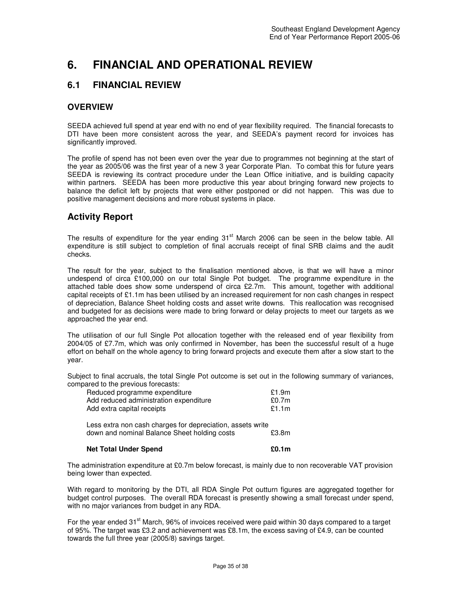# **6. FINANCIAL AND OPERATIONAL REVIEW**

### **6.1 FINANCIAL REVIEW**

### **OVERVIEW**

SEEDA achieved full spend at year end with no end of year flexibility required. The financial forecasts to DTI have been more consistent across the year, and SEEDA's payment record for invoices has significantly improved.

The profile of spend has not been even over the year due to programmes not beginning at the start of the year as 2005/06 was the first year of a new 3 year Corporate Plan. To combat this for future years SEEDA is reviewing its contract procedure under the Lean Office initiative, and is building capacity within partners. SEEDA has been more productive this year about bringing forward new projects to balance the deficit left by projects that were either postponed or did not happen. This was due to positive management decisions and more robust systems in place.

### **Activity Report**

The results of expenditure for the year ending  $31<sup>st</sup>$  March 2006 can be seen in the below table. All expenditure is still subject to completion of final accruals receipt of final SRB claims and the audit checks.

The result for the year, subject to the finalisation mentioned above, is that we will have a minor undespend of circa £100,000 on our total Single Pot budget. The programme expenditure in the attached table does show some underspend of circa £2.7m. This amount, together with additional capital receipts of £1.1m has been utilised by an increased requirement for non cash changes in respect of depreciation, Balance Sheet holding costs and asset write downs. This reallocation was recognised and budgeted for as decisions were made to bring forward or delay projects to meet our targets as we approached the year end.

The utilisation of our full Single Pot allocation together with the released end of year flexibility from 2004/05 of £7.7m, which was only confirmed in November, has been the successful result of a huge effort on behalf on the whole agency to bring forward projects and execute them after a slow start to the year.

Subject to final accruals, the total Single Pot outcome is set out in the following summary of variances, compared to the previous forecasts:

| Reduced programme expenditure                              | £1.9m    |  |  |  |
|------------------------------------------------------------|----------|--|--|--|
| Add reduced administration expenditure                     | £0.7m    |  |  |  |
| Add extra capital receipts                                 | £1.1 $m$ |  |  |  |
|                                                            |          |  |  |  |
| Less extra non cash charges for depreciation, assets write |          |  |  |  |
| down and nominal Balance Sheet holding costs               | £3.8m    |  |  |  |
|                                                            |          |  |  |  |

#### **Net Total Under Spend E0.1m**

The administration expenditure at £0.7m below forecast, is mainly due to non recoverable VAT provision being lower than expected.

With regard to monitoring by the DTI, all RDA Single Pot outturn figures are aggregated together for budget control purposes. The overall RDA forecast is presently showing a small forecast under spend, with no major variances from budget in any RDA.

For the year ended 31<sup>st</sup> March, 96% of invoices received were paid within 30 days compared to a target of 95%. The target was £3.2 and achievement was £8.1m, the excess saving of £4.9, can be counted towards the full three year (2005/8) savings target.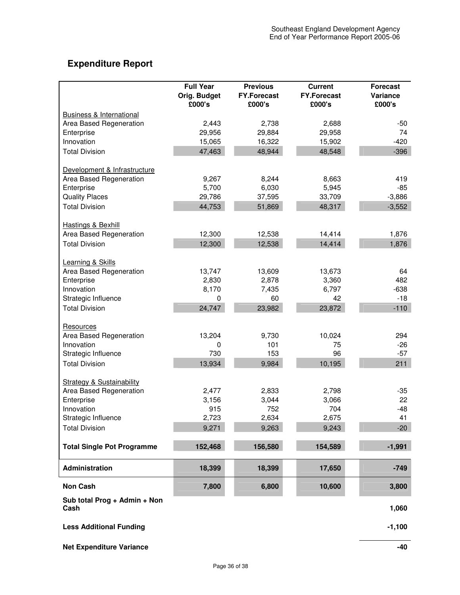# **Expenditure Report**

|                                      | <b>Full Year</b>       | <b>Previous</b><br><b>FY.Forecast</b> | <b>Current</b><br><b>FY.Forecast</b> | <b>Forecast</b><br>Variance |  |
|--------------------------------------|------------------------|---------------------------------------|--------------------------------------|-----------------------------|--|
|                                      | Orig. Budget<br>£000's | £000's                                | £000's                               | £000's                      |  |
| <b>Business &amp; International</b>  |                        |                                       |                                      |                             |  |
| Area Based Regeneration              | 2,443                  | 2,738                                 | 2,688                                | $-50$                       |  |
| Enterprise                           | 29,956                 | 29,884                                | 29,958                               | 74                          |  |
| Innovation                           | 15,065                 | 16,322                                | 15,902                               | $-420$                      |  |
| <b>Total Division</b>                | 47,463                 | 48,944                                | 48,548                               | $-396$                      |  |
| Development & Infrastructure         |                        |                                       |                                      |                             |  |
| Area Based Regeneration              | 9,267                  | 8,244                                 | 8,663                                | 419                         |  |
| Enterprise                           | 5,700                  | 6,030                                 | 5,945                                | -85                         |  |
| <b>Quality Places</b>                | 29,786                 | 37,595                                | 33,709                               | $-3,886$                    |  |
| <b>Total Division</b>                | 44,753                 | 51,869                                | 48,317                               | $-3,552$                    |  |
| <b>Hastings &amp; Bexhill</b>        |                        |                                       |                                      |                             |  |
| Area Based Regeneration              | 12,300                 | 12,538                                | 14,414                               | 1,876                       |  |
| <b>Total Division</b>                | 12,300                 | 12,538                                | 14,414                               | 1,876                       |  |
| Learning & Skills                    |                        |                                       |                                      |                             |  |
| Area Based Regeneration              | 13,747                 | 13,609                                | 13,673                               | 64                          |  |
| Enterprise                           | 2,830                  | 2,878                                 | 3,360                                | 482                         |  |
| Innovation                           | 8,170                  | 7,435                                 | 6,797                                | $-638$                      |  |
| Strategic Influence                  | $\mathbf 0$            | 60                                    | 42                                   | $-18$                       |  |
| <b>Total Division</b>                | 24,747                 | 23,982                                | 23,872                               | $-110$                      |  |
| Resources                            |                        |                                       |                                      |                             |  |
| Area Based Regeneration              | 13,204                 | 9,730                                 | 10,024                               | 294                         |  |
| Innovation                           | 0                      | 101                                   | 75                                   | $-26$                       |  |
| Strategic Influence                  | 730                    | 153                                   | 96                                   | $-57$                       |  |
| <b>Total Division</b>                | 13,934                 | 9,984                                 | 10,195                               | 211                         |  |
| <b>Strategy &amp; Sustainability</b> |                        |                                       |                                      |                             |  |
| Area Based Regeneration              | 2,477                  | 2,833                                 | 2,798                                | $-35$                       |  |
| Enterprise                           | 3,156                  | 3,044                                 | 3,066                                | 22                          |  |
| Innovation                           | 915                    | 752                                   | 704                                  | $-48$                       |  |
| Strategic Influence                  | 2,723                  | 2,634                                 | 2,675                                | 41                          |  |
| <b>Total Division</b>                | 9,271                  | 9,263                                 | 9,243                                | $-20$                       |  |
| <b>Total Single Pot Programme</b>    | 152,468                | 156,580                               | 154,589                              | $-1,991$                    |  |
| Administration                       | 18,399                 | 18,399                                | 17,650                               | $-749$                      |  |
| <b>Non Cash</b>                      | 7,800                  | 6,800                                 | 10,600                               | 3,800                       |  |
| Sub total Prog + Admin + Non<br>Cash |                        |                                       |                                      | 1,060                       |  |
| <b>Less Additional Funding</b>       |                        |                                       |                                      |                             |  |

**Net Expenditure Variance -40**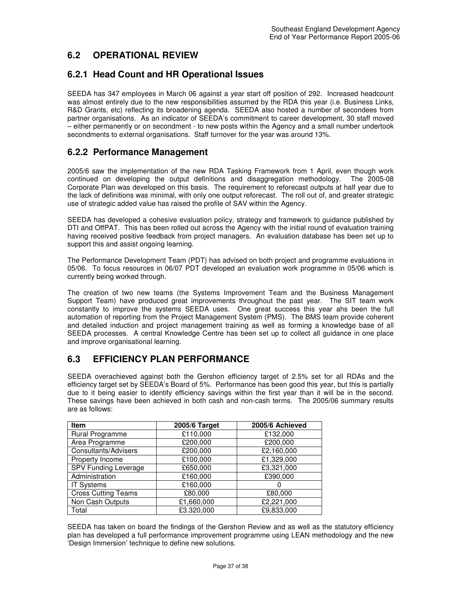## **6.2 OPERATIONAL REVIEW**

### **6.2.1 Head Count and HR Operational Issues**

SEEDA has 347 employees in March 06 against a year start off position of 292. Increased headcount was almost entirely due to the new responsibilities assumed by the RDA this year (i.e. Business Links, R&D Grants, etc) reflecting its broadening agenda. SEEDA also hosted a number of secondees from partner organisations. As an indicator of SEEDA's commitment to career development, 30 staff moved – either permanently or on secondment - to new posts within the Agency and a small number undertook secondments to external organisations. Staff turnover for the year was around 13%.

### **6.2.2 Performance Management**

2005/6 saw the implementation of the new RDA Tasking Framework from 1 April, even though work continued on developing the output definitions and disaggregation methodology. The 2005-08 Corporate Plan was developed on this basis. The requirement to reforecast outputs at half year due to the lack of definitions was minimal, with only one output reforecast. The roll out of, and greater strategic use of strategic added value has raised the profile of SAV within the Agency.

SEEDA has developed a cohesive evaluation policy, strategy and framework to guidance published by DTI and OffPAT. This has been rolled out across the Agency with the initial round of evaluation training having received positive feedback from project managers. An evaluation database has been set up to support this and assist ongoing learning.

The Performance Development Team (PDT) has advised on both project and programme evaluations in 05/06. To focus resources in 06/07 PDT developed an evaluation work programme in 05/06 which is currently being worked through.

The creation of two new teams (the Systems Improvement Team and the Business Management Support Team) have produced great improvements throughout the past year. The SIT team work constantly to improve the systems SEEDA uses. One great success this year ahs been the full automation of reporting from the Project Management System (PMS). The BMS team provide coherent and detailed induction and project management training as well as forming a knowledge base of all SEEDA processes. A central Knowledge Centre has been set up to collect all guidance in one place and improve organisational learning.

### **6.3 EFFICIENCY PLAN PERFORMANCE**

SEEDA overachieved against both the Gershon efficiency target of 2.5% set for all RDAs and the efficiency target set by SEEDA's Board of 5%. Performance has been good this year, but this is partially due to it being easier to identify efficiency savings within the first year than it will be in the second. These savings have been achieved in both cash and non-cash terms. The 2005/06 summary results are as follows:

| Item                        | 2005/6 Target | 2005/6 Achieved |  |  |
|-----------------------------|---------------|-----------------|--|--|
| Rural Programme             | £110,000      | £132,000        |  |  |
| Area Programme              | £200,000      | £200,000        |  |  |
| <b>Consultants/Advisers</b> | £200,000      | £2,160,000      |  |  |
| Property Income             | £100,000      | £1,329,000      |  |  |
| <b>SPV Funding Leverage</b> | £650,000      | £3,321,000      |  |  |
| Administration              | £160,000      | £390,000        |  |  |
| <b>IT Systems</b>           | £160,000      | ŋ               |  |  |
| <b>Cross Cutting Teams</b>  | £80,000       | £80,000         |  |  |
| Non Cash Outputs            | £1,660,000    | £2,221,000      |  |  |
| Total                       | £3.320,000    | £9,833,000      |  |  |

SEEDA has taken on board the findings of the Gershon Review and as well as the statutory efficiency plan has developed a full performance improvement programme using LEAN methodology and the new 'Design Immersion' technique to define new solutions.